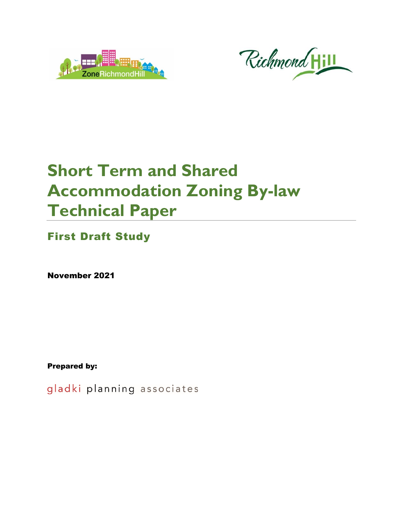



# **Short Term and Shared Accommodation Zoning By-law Technical Paper**

First Draft Study

November 2021

Prepared by:

gladki planning associates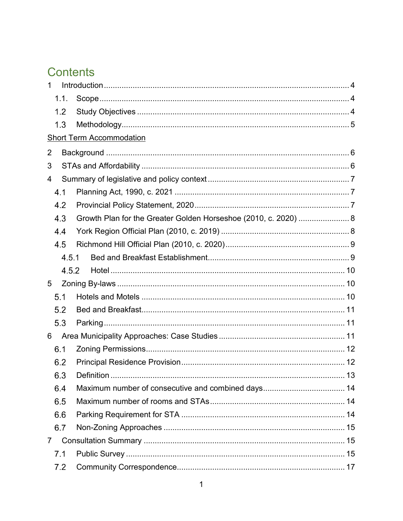# **Contents**

| 1              |                                                                 |  |  |  |
|----------------|-----------------------------------------------------------------|--|--|--|
| 1.1.           |                                                                 |  |  |  |
| 1.2            |                                                                 |  |  |  |
| 1.3            |                                                                 |  |  |  |
|                | <b>Short Term Accommodation</b>                                 |  |  |  |
| 2              |                                                                 |  |  |  |
| 3              |                                                                 |  |  |  |
| 4              |                                                                 |  |  |  |
| 4.1            |                                                                 |  |  |  |
| 4.2            |                                                                 |  |  |  |
| 4.3            | Growth Plan for the Greater Golden Horseshoe (2010, c. 2020)  8 |  |  |  |
| 4.4            |                                                                 |  |  |  |
| 4.5            |                                                                 |  |  |  |
| 4.5.1          |                                                                 |  |  |  |
| 4.5.2          |                                                                 |  |  |  |
| 5              |                                                                 |  |  |  |
| 5.1            |                                                                 |  |  |  |
| 5.2            |                                                                 |  |  |  |
| 5.3            |                                                                 |  |  |  |
| 6              |                                                                 |  |  |  |
| 6.1            |                                                                 |  |  |  |
| 6.2            |                                                                 |  |  |  |
| 6.3            |                                                                 |  |  |  |
| 6.4            |                                                                 |  |  |  |
| 6.5            |                                                                 |  |  |  |
| 6.6            |                                                                 |  |  |  |
| 6.7            |                                                                 |  |  |  |
| $\overline{7}$ |                                                                 |  |  |  |
| 7.1            |                                                                 |  |  |  |
| 7.2            |                                                                 |  |  |  |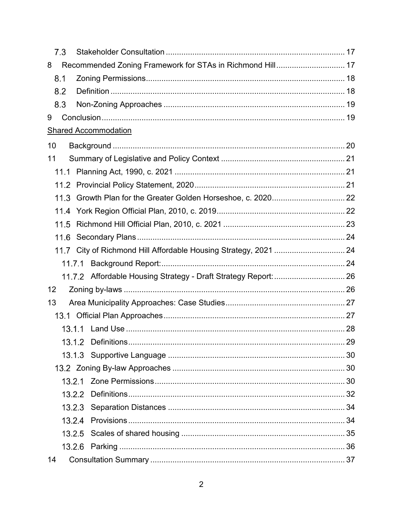| 7.3    |                                                                  |  |
|--------|------------------------------------------------------------------|--|
| 8      | Recommended Zoning Framework for STAs in Richmond Hill 17        |  |
| 8.1    |                                                                  |  |
| 8.2    |                                                                  |  |
| 8.3    |                                                                  |  |
| 9      |                                                                  |  |
|        | <b>Shared Accommodation</b>                                      |  |
| 10     |                                                                  |  |
| 11     |                                                                  |  |
|        |                                                                  |  |
|        |                                                                  |  |
| 11.3   |                                                                  |  |
|        |                                                                  |  |
| 11.5   |                                                                  |  |
| 11.6   |                                                                  |  |
|        | 11.7 City of Richmond Hill Affordable Housing Strategy, 2021  24 |  |
| 11.7.1 |                                                                  |  |
|        | 11.7.2 Affordable Housing Strategy - Draft Strategy Report:  26  |  |
| 12     |                                                                  |  |
| 13     |                                                                  |  |
|        |                                                                  |  |
|        |                                                                  |  |
|        |                                                                  |  |
|        |                                                                  |  |
|        |                                                                  |  |
| 13.2.1 |                                                                  |  |
| 13.2.2 |                                                                  |  |
|        |                                                                  |  |
|        |                                                                  |  |
| 13.2.5 |                                                                  |  |
| 13.2.6 |                                                                  |  |
| 14     |                                                                  |  |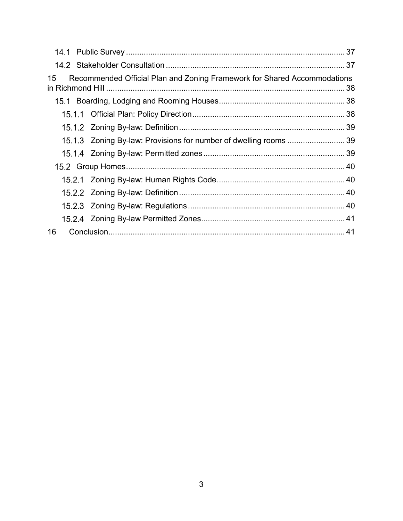| 15 | Recommended Official Plan and Zoning Framework for Shared Accommodations |  |
|----|--------------------------------------------------------------------------|--|
|    |                                                                          |  |
|    |                                                                          |  |
|    |                                                                          |  |
|    | 15.1.3 Zoning By-law: Provisions for number of dwelling rooms 39         |  |
|    |                                                                          |  |
|    |                                                                          |  |
|    |                                                                          |  |
|    |                                                                          |  |
|    |                                                                          |  |
|    |                                                                          |  |
| 16 |                                                                          |  |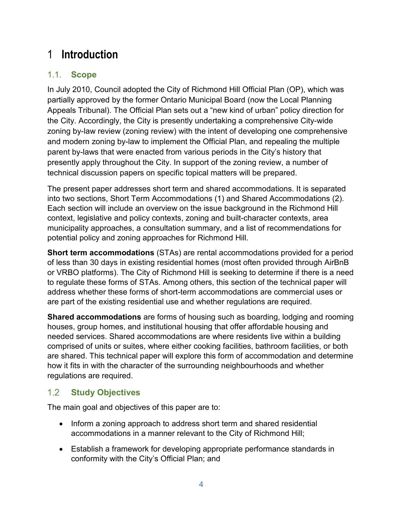# <span id="page-4-0"></span>1 **Introduction**

# <span id="page-4-1"></span>1.1. **Scope**

In July 2010, Council adopted the City of Richmond Hill Official Plan (OP), which was partially approved by the former Ontario Municipal Board (now the Local Planning Appeals Tribunal). The Official Plan sets out a "new kind of urban" policy direction for the City. Accordingly, the City is presently undertaking a comprehensive City-wide zoning by-law review (zoning review) with the intent of developing one comprehensive and modern zoning by-law to implement the Official Plan, and repealing the multiple parent by-laws that were enacted from various periods in the City's history that presently apply throughout the City. In support of the zoning review, a number of technical discussion papers on specific topical matters will be prepared.

The present paper addresses short term and shared accommodations. It is separated into two sections, Short Term Accommodations (1) and Shared Accommodations (2). Each section will include an overview on the issue background in the Richmond Hill context, legislative and policy contexts, zoning and built-character contexts, area municipality approaches, a consultation summary, and a list of recommendations for potential policy and zoning approaches for Richmond Hill.

**Short term accommodations** (STAs) are rental accommodations provided for a period of less than 30 days in existing residential homes (most often provided through AirBnB or VRBO platforms). The City of Richmond Hill is seeking to determine if there is a need to regulate these forms of STAs. Among others, this section of the technical paper will address whether these forms of short-term accommodations are commercial uses or are part of the existing residential use and whether regulations are required.

**Shared accommodations** are forms of housing such as boarding, lodging and rooming houses, group homes, and institutional housing that offer affordable housing and needed services. Shared accommodations are where residents live within a building comprised of units or suites, where either cooking facilities, bathroom facilities, or both are shared. This technical paper will explore this form of accommodation and determine how it fits in with the character of the surrounding neighbourhoods and whether regulations are required.

### <span id="page-4-2"></span> $1.2$ **Study Objectives**

The main goal and objectives of this paper are to:

- Inform a zoning approach to address short term and shared residential accommodations in a manner relevant to the City of Richmond Hill;
- Establish a framework for developing appropriate performance standards in conformity with the City's Official Plan; and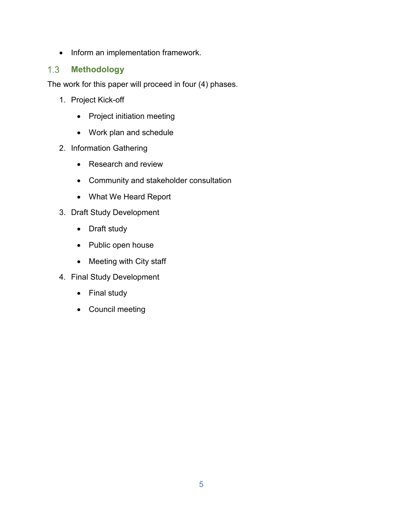• Inform an implementation framework.

#### <span id="page-5-0"></span> $1.3$ **Methodology**

The work for this paper will proceed in four (4) phases.

- 1. Project Kick-off
	- Project initiation meeting
	- Work plan and schedule
- 2. Information Gathering
	- Research and review
	- Community and stakeholder consultation
	- What We Heard Report
- 3. Draft Study Development
	- Draft study
	- Public open house
	- Meeting with City staff
- 4. Final Study Development
	- Final study
	- Council meeting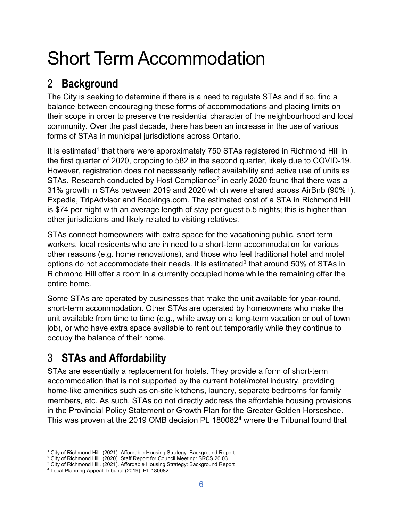# Short Term Accommodation

# <span id="page-6-0"></span>2 **Background**

The City is seeking to determine if there is a need to regulate STAs and if so, find a balance between encouraging these forms of accommodations and placing limits on their scope in order to preserve the residential character of the neighbourhood and local community. Over the past decade, there has been an increase in the use of various forms of STAs in municipal jurisdictions across Ontario.

It is estimated<sup>[1](#page-6-2)</sup> that there were approximately 750 STAs registered in Richmond Hill in the first quarter of 2020, dropping to 582 in the second quarter, likely due to COVID-19. However, registration does not necessarily reflect availability and active use of units as STAs. Research conducted by Host Compliance<sup>[2](#page-6-3)</sup> in early 2020 found that there was a 31% growth in STAs between 2019 and 2020 which were shared across AirBnb (90%+), Expedia, TripAdvisor and Bookings.com. The estimated cost of a STA in Richmond Hill is \$74 per night with an average length of stay per guest 5.5 nights; this is higher than other jurisdictions and likely related to visiting relatives.

STAs connect homeowners with extra space for the vacationing public, short term workers, local residents who are in need to a short-term accommodation for various other reasons (e.g. home renovations), and those who feel traditional hotel and motel options do not accommodate their needs. It is estimated<sup>[3](#page-6-4)</sup> that around 50% of STAs in Richmond Hill offer a room in a currently occupied home while the remaining offer the entire home.

Some STAs are operated by businesses that make the unit available for year-round, short-term accommodation. Other STAs are operated by homeowners who make the unit available from time to time (e.g., while away on a long-term vacation or out of town job), or who have extra space available to rent out temporarily while they continue to occupy the balance of their home.

# <span id="page-6-1"></span>3 **STAs and Affordability**

STAs are essentially a replacement for hotels. They provide a form of short-term accommodation that is not supported by the current hotel/motel industry, providing home-like amenities such as on-site kitchens, laundry, separate bedrooms for family members, etc. As such, STAs do not directly address the affordable housing provisions in the Provincial Policy Statement or Growth Plan for the Greater Golden Horseshoe. This was proven at the 2019 OMB decision PL 180082<sup>[4](#page-6-5)</sup> where the Tribunal found that

 $\overline{a}$ 

<span id="page-6-2"></span><sup>&</sup>lt;sup>1</sup> City of Richmond Hill. (2021). Affordable Housing Strategy: Background Report

<span id="page-6-3"></span><sup>&</sup>lt;sup>2</sup> City of Richmond Hill. (2020). Staff Report for Council Meeting: SRCS.20.03

 $3$  City of Richmond Hill. (2021). Affordable Housing Strategy: Background Report

<span id="page-6-5"></span><span id="page-6-4"></span><sup>4</sup> Local Planning Appeal Tribunal (2019). PL 180082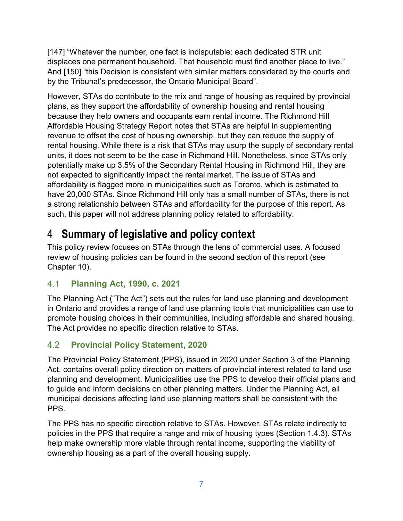[147] "Whatever the number, one fact is indisputable: each dedicated STR unit displaces one permanent household. That household must find another place to live." And [150] "this Decision is consistent with similar matters considered by the courts and by the Tribunal's predecessor, the Ontario Municipal Board".

However, STAs do contribute to the mix and range of housing as required by provincial plans, as they support the affordability of ownership housing and rental housing because they help owners and occupants earn rental income. The Richmond Hill Affordable Housing Strategy Report notes that STAs are helpful in supplementing revenue to offset the cost of housing ownership, but they can reduce the supply of rental housing. While there is a risk that STAs may usurp the supply of secondary rental units, it does not seem to be the case in Richmond Hill. Nonetheless, since STAs only potentially make up 3.5% of the Secondary Rental Housing in Richmond Hill, they are not expected to significantly impact the rental market. The issue of STAs and affordability is flagged more in municipalities such as Toronto, which is estimated to have 20,000 STAs. Since Richmond Hill only has a small number of STAs, there is not a strong relationship between STAs and affordability for the purpose of this report. As such, this paper will not address planning policy related to affordability.

# <span id="page-7-0"></span>4 **Summary of legislative and policy context**

This policy review focuses on STAs through the lens of commercial uses. A focused review of housing policies can be found in the second section of this report (see Chapter 10).

### <span id="page-7-1"></span> $4.1$ **Planning Act, 1990, c. 2021**

The Planning Act ("The Act") sets out the rules for land use planning and development in Ontario and provides a range of land use planning tools that municipalities can use to promote housing choices in their communities, including affordable and shared housing. The Act provides no specific direction relative to STAs.

### <span id="page-7-2"></span>4.2 **Provincial Policy Statement, 2020**

The Provincial Policy Statement (PPS), issued in 2020 under Section 3 of the Planning Act, contains overall policy direction on matters of provincial interest related to land use planning and development. Municipalities use the PPS to develop their official plans and to guide and inform decisions on other planning matters. Under the Planning Act, all municipal decisions affecting land use planning matters shall be consistent with the PPS.

The PPS has no specific direction relative to STAs. However, STAs relate indirectly to policies in the PPS that require a range and mix of housing types (Section 1.4.3). STAs help make ownership more viable through rental income, supporting the viability of ownership housing as a part of the overall housing supply.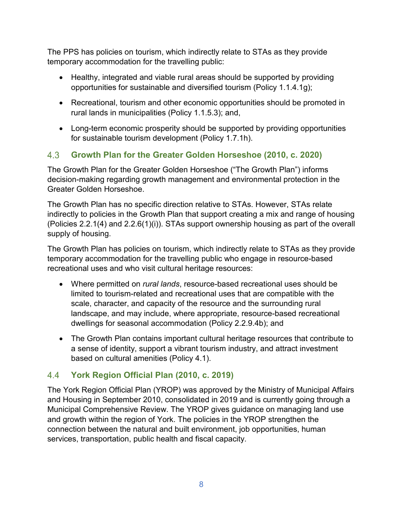The PPS has policies on tourism, which indirectly relate to STAs as they provide temporary accommodation for the travelling public:

- Healthy, integrated and viable rural areas should be supported by providing opportunities for sustainable and diversified tourism (Policy 1.1.4.1g);
- Recreational, tourism and other economic opportunities should be promoted in rural lands in municipalities (Policy 1.1.5.3); and,
- Long-term economic prosperity should be supported by providing opportunities for sustainable tourism development (Policy 1.7.1h).

#### <span id="page-8-0"></span> $4.3$ **Growth Plan for the Greater Golden Horseshoe (2010, c. 2020)**

The Growth Plan for the Greater Golden Horseshoe ("The Growth Plan") informs decision-making regarding growth management and environmental protection in the Greater Golden Horseshoe.

The Growth Plan has no specific direction relative to STAs. However, STAs relate indirectly to policies in the Growth Plan that support creating a mix and range of housing (Policies 2.2.1(4) and 2.2.6(1)(i)). STAs support ownership housing as part of the overall supply of housing.

The Growth Plan has policies on tourism, which indirectly relate to STAs as they provide temporary accommodation for the travelling public who engage in resource-based recreational uses and who visit cultural heritage resources:

- Where permitted on *rural lands*, resource-based recreational uses should be limited to tourism-related and recreational uses that are compatible with the scale, character, and capacity of the resource and the surrounding rural landscape, and may include, where appropriate, resource-based recreational dwellings for seasonal accommodation (Policy 2.2.9.4b); and
- The Growth Plan contains important cultural heritage resources that contribute to a sense of identity, support a vibrant tourism industry, and attract investment based on cultural amenities (Policy 4.1).

#### <span id="page-8-1"></span> $4.4$ **York Region Official Plan (2010, c. 2019)**

The York Region Official Plan (YROP) was approved by the Ministry of Municipal Affairs and Housing in September 2010, consolidated in 2019 and is currently going through a Municipal Comprehensive Review. The YROP gives guidance on managing land use and growth within the region of York. The policies in the YROP strengthen the connection between the natural and built environment, job opportunities, human services, transportation, public health and fiscal capacity.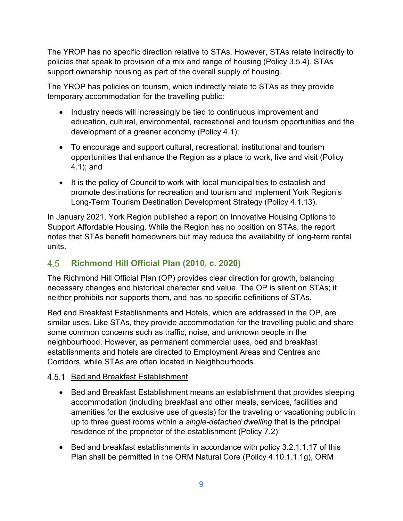The YROP has no specific direction relative to STAs. However, STAs relate indirectly to policies that speak to provision of a mix and range of housing (Policy 3.5.4). STAs support ownership housing as part of the overall supply of housing.

The YROP has policies on tourism, which indirectly relate to STAs as they provide temporary accommodation for the travelling public:

- Industry needs will increasingly be tied to continuous improvement and education, cultural, environmental, recreational and tourism opportunities and the development of a greener economy (Policy 4.1);
- To encourage and support cultural, recreational, institutional and tourism opportunities that enhance the Region as a place to work, live and visit (Policy 4.1); and
- It is the policy of Council to work with local municipalities to establish and promote destinations for recreation and tourism and implement York Region's Long-Term Tourism Destination Development Strategy (Policy 4.1.13).

In January 2021, York Region published a report on Innovative Housing Options to Support Affordable Housing. While the Region has no position on STAs, the report notes that STAs benefit homeowners but may reduce the availability of long-term rental units.

### <span id="page-9-0"></span>4.5 **Richmond Hill Official Plan (2010, c. 2020)**

The Richmond Hill Official Plan (OP) provides clear direction for growth, balancing necessary changes and historical character and value. The OP is silent on STAs; it neither prohibits nor supports them, and has no specific definitions of STAs.

Bed and Breakfast Establishments and Hotels, which are addressed in the OP, are similar uses. Like STAs, they provide accommodation for the travelling public and share some common concerns such as traffic, noise, and unknown people in the neighbourhood. However, as permanent commercial uses, bed and breakfast establishments and hotels are directed to Employment Areas and Centres and Corridors, while STAs are often located in Neighbourhoods.

# <span id="page-9-1"></span>4.5.1 Bed and Breakfast Establishment

- Bed and Breakfast Establishment means an establishment that provides sleeping accommodation (including breakfast and other meals, services, facilities and amenities for the exclusive use of guests) for the traveling or vacationing public in up to three guest rooms within a *single-detached dwelling* that is the principal residence of the proprietor of the establishment (Policy 7.2);
- Bed and breakfast establishments in accordance with policy 3.2.1.1.17 of this Plan shall be permitted in the ORM Natural Core (Policy 4.10.1.1.1g), ORM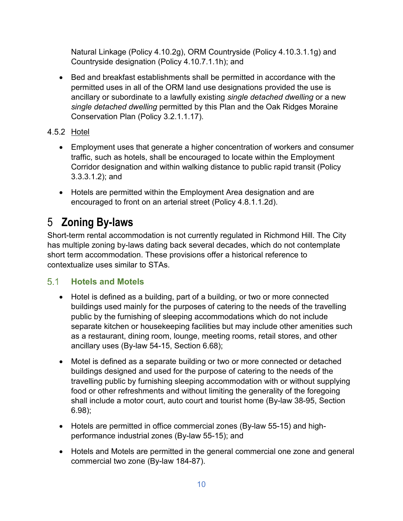Natural Linkage (Policy 4.10.2g), ORM Countryside (Policy 4.10.3.1.1g) and Countryside designation (Policy 4.10.7.1.1h); and

- Bed and breakfast establishments shall be permitted in accordance with the permitted uses in all of the ORM land use designations provided the use is ancillary or subordinate to a lawfully existing *single detached dwelling* or a new *single detached dwelling* permitted by this Plan and the Oak Ridges Moraine Conservation Plan (Policy 3.2.1.1.17).
- <span id="page-10-0"></span>4.5.2 Hotel
	- Employment uses that generate a higher concentration of workers and consumer traffic, such as hotels, shall be encouraged to locate within the Employment Corridor designation and within walking distance to public rapid transit (Policy 3.3.3.1.2); and
	- Hotels are permitted within the Employment Area designation and are encouraged to front on an arterial street (Policy 4.8.1.1.2d).

# <span id="page-10-1"></span>5 **Zoning By-laws**

Short-term rental accommodation is not currently regulated in Richmond Hill. The City has multiple zoning by-laws dating back several decades, which do not contemplate short term accommodation. These provisions offer a historical reference to contextualize uses similar to STAs.

### <span id="page-10-2"></span> $5.1$ **Hotels and Motels**

- Hotel is defined as a building, part of a building, or two or more connected buildings used mainly for the purposes of catering to the needs of the travelling public by the furnishing of sleeping accommodations which do not include separate kitchen or housekeeping facilities but may include other amenities such as a restaurant, dining room, lounge, meeting rooms, retail stores, and other ancillary uses (By-law 54-15, Section 6.68);
- Motel is defined as a separate building or two or more connected or detached buildings designed and used for the purpose of catering to the needs of the travelling public by furnishing sleeping accommodation with or without supplying food or other refreshments and without limiting the generality of the foregoing shall include a motor court, auto court and tourist home (By-law 38-95, Section 6.98);
- Hotels are permitted in office commercial zones (By-law 55-15) and highperformance industrial zones (By-law 55-15); and
- Hotels and Motels are permitted in the general commercial one zone and general commercial two zone (By-law 184-87).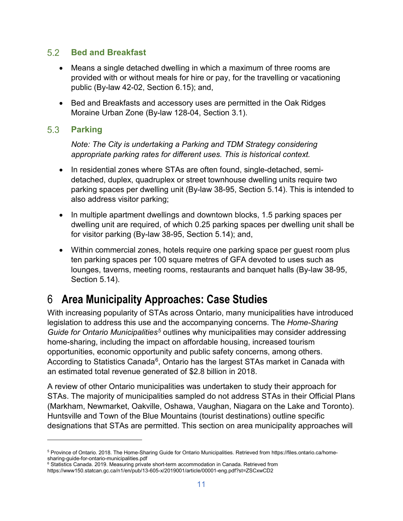#### <span id="page-11-0"></span> $5.2$ **Bed and Breakfast**

- Means a single detached dwelling in which a maximum of three rooms are provided with or without meals for hire or pay, for the travelling or vacationing public (By-law 42-02, Section 6.15); and,
- Bed and Breakfasts and accessory uses are permitted in the Oak Ridges Moraine Urban Zone (By-law 128-04, Section 3.1).

#### <span id="page-11-1"></span> $5.3$ **Parking**

 $\overline{a}$ 

*Note: The City is undertaking a Parking and TDM Strategy considering appropriate parking rates for different uses. This is historical context.*

- In residential zones where STAs are often found, single-detached, semidetached, duplex, quadruplex or street townhouse dwelling units require two parking spaces per dwelling unit (By-law 38-95, Section 5.14). This is intended to also address visitor parking;
- In multiple apartment dwellings and downtown blocks, 1.5 parking spaces per dwelling unit are required, of which 0.25 parking spaces per dwelling unit shall be for visitor parking (By-law 38-95, Section 5.14); and,
- Within commercial zones, hotels require one parking space per guest room plus ten parking spaces per 100 square metres of GFA devoted to uses such as lounges, taverns, meeting rooms, restaurants and banquet halls (By-law 38-95, Section 5.14).

# <span id="page-11-2"></span>6 **Area Municipality Approaches: Case Studies**

With increasing popularity of STAs across Ontario, many municipalities have introduced legislation to address this use and the accompanying concerns. The *Home-Sharing Guide for Ontario Municipalities[5](#page-11-3)* outlines why municipalities may consider addressing home-sharing, including the impact on affordable housing, increased tourism opportunities, economic opportunity and public safety concerns, among others. According to Statistics Canada<sup>6</sup>, Ontario has the largest STAs market in Canada with an estimated total revenue generated of \$2.8 billion in 2018.

A review of other Ontario municipalities was undertaken to study their approach for STAs. The majority of municipalities sampled do not address STAs in their Official Plans (Markham, Newmarket, Oakville, Oshawa, Vaughan, Niagara on the Lake and Toronto). Huntsville and Town of the Blue Mountains (tourist destinations) outline specific designations that STAs are permitted. This section on area municipality approaches will

<span id="page-11-3"></span><sup>5</sup> Province of Ontario. 2018. The Home-Sharing Guide for Ontario Municipalities. Retrieved from https://files.ontario.ca/homesharing-guide-for-ontario-municipalities.pdf

<span id="page-11-4"></span><sup>6</sup> Statistics Canada. 2019. Measuring private short-term accommodation in Canada. Retrieved from https://www150.statcan.gc.ca/n1/en/pub/13-605-x/2019001/article/00001-eng.pdf?st=ZSCxwCD2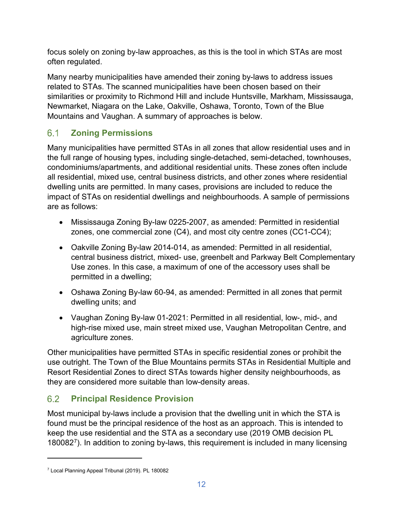focus solely on zoning by-law approaches, as this is the tool in which STAs are most often regulated.

Many nearby municipalities have amended their zoning by-laws to address issues related to STAs. The scanned municipalities have been chosen based on their similarities or proximity to Richmond Hill and include Huntsville, Markham, Mississauga, Newmarket, Niagara on the Lake, Oakville, Oshawa, Toronto, Town of the Blue Mountains and Vaughan. A summary of approaches is below.

### <span id="page-12-0"></span> $6.1$ **Zoning Permissions**

Many municipalities have permitted STAs in all zones that allow residential uses and in the full range of housing types, including single-detached, semi-detached, townhouses, condominiums/apartments, and additional residential units. These zones often include all residential, mixed use, central business districts, and other zones where residential dwelling units are permitted. In many cases, provisions are included to reduce the impact of STAs on residential dwellings and neighbourhoods. A sample of permissions are as follows:

- Mississauga Zoning By-law 0225-2007, as amended: Permitted in residential zones, one commercial zone (C4), and most city centre zones (CC1-CC4);
- Oakville Zoning By-law 2014-014, as amended: Permitted in all residential, central business district, mixed- use, greenbelt and Parkway Belt Complementary Use zones. In this case, a maximum of one of the accessory uses shall be permitted in a dwelling;
- Oshawa Zoning By-law 60-94, as amended: Permitted in all zones that permit dwelling units; and
- Vaughan Zoning By-law 01-2021: Permitted in all residential, low-, mid-, and high-rise mixed use, main street mixed use, Vaughan Metropolitan Centre, and agriculture zones.

Other municipalities have permitted STAs in specific residential zones or prohibit the use outright. The Town of the Blue Mountains permits STAs in Residential Multiple and Resort Residential Zones to direct STAs towards higher density neighbourhoods, as they are considered more suitable than low-density areas.

### <span id="page-12-1"></span> $6.2$ **Principal Residence Provision**

Most municipal by-laws include a provision that the dwelling unit in which the STA is found must be the principal residence of the host as an approach. This is intended to keep the use residential and the STA as a secondary use (2019 OMB decision PL 180082[7](#page-12-2)). In addition to zoning by-laws, this requirement is included in many licensing

 $\overline{a}$ 

<span id="page-12-2"></span><sup>7</sup> Local Planning Appeal Tribunal (2019). PL 180082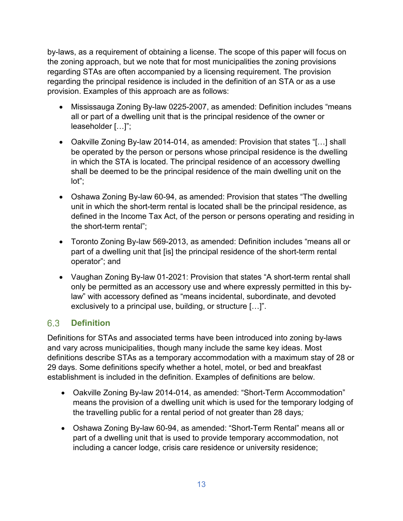by-laws, as a requirement of obtaining a license. The scope of this paper will focus on the zoning approach, but we note that for most municipalities the zoning provisions regarding STAs are often accompanied by a licensing requirement. The provision regarding the principal residence is included in the definition of an STA or as a use provision. Examples of this approach are as follows:

- Mississauga Zoning By-law 0225-2007, as amended: Definition includes "means all or part of a dwelling unit that is the principal residence of the owner or leaseholder […]";
- Oakville Zoning By-law 2014-014, as amended: Provision that states "[…] shall be operated by the person or persons whose principal residence is the dwelling in which the STA is located. The principal residence of an accessory dwelling shall be deemed to be the principal residence of the main dwelling unit on the lot";
- Oshawa Zoning By-law 60-94, as amended: Provision that states "The dwelling unit in which the short-term rental is located shall be the principal residence, as defined in the Income Tax Act, of the person or persons operating and residing in the short-term rental";
- Toronto Zoning By-law 569-2013, as amended: Definition includes "means all or part of a dwelling unit that [is] the principal residence of the short-term rental operator"; and
- Vaughan Zoning By-law 01-2021: Provision that states "A short-term rental shall only be permitted as an accessory use and where expressly permitted in this bylaw" with accessory defined as "means incidental, subordinate, and devoted exclusively to a principal use, building, or structure […]".

#### <span id="page-13-0"></span>6.3 **Definition**

Definitions for STAs and associated terms have been introduced into zoning by-laws and vary across municipalities, though many include the same key ideas. Most definitions describe STAs as a temporary accommodation with a maximum stay of 28 or 29 days. Some definitions specify whether a hotel, motel, or bed and breakfast establishment is included in the definition. Examples of definitions are below.

- Oakville Zoning By-law 2014-014, as amended: "Short-Term Accommodation" means the provision of a dwelling unit which is used for the temporary lodging of the travelling public for a rental period of not greater than 28 days*;*
- Oshawa Zoning By-law 60-94, as amended: "Short-Term Rental" means all or part of a dwelling unit that is used to provide temporary accommodation, not including a cancer lodge, crisis care residence or university residence;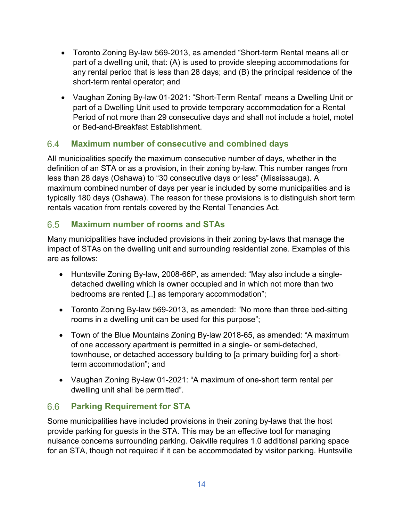- Toronto Zoning By-law 569-2013, as amended "Short-term Rental means all or part of a dwelling unit, that: (A) is used to provide sleeping accommodations for any rental period that is less than 28 days; and (B) the principal residence of the short-term rental operator; and
- Vaughan Zoning By-law 01-2021: "Short-Term Rental" means a Dwelling Unit or part of a Dwelling Unit used to provide temporary accommodation for a Rental Period of not more than 29 consecutive days and shall not include a hotel, motel or Bed-and-Breakfast Establishment.

#### <span id="page-14-0"></span> $6.4$ **Maximum number of consecutive and combined days**

All municipalities specify the maximum consecutive number of days, whether in the definition of an STA or as a provision, in their zoning by-law. This number ranges from less than 28 days (Oshawa) to "30 consecutive days or less" (Mississauga). A maximum combined number of days per year is included by some municipalities and is typically 180 days (Oshawa). The reason for these provisions is to distinguish short term rentals vacation from rentals covered by the Rental Tenancies Act.

#### <span id="page-14-1"></span>6.5 **Maximum number of rooms and STAs**

Many municipalities have included provisions in their zoning by-laws that manage the impact of STAs on the dwelling unit and surrounding residential zone. Examples of this are as follows:

- Huntsville Zoning By-law, 2008-66P, as amended: "May also include a singledetached dwelling which is owner occupied and in which not more than two bedrooms are rented [..] as temporary accommodation";
- Toronto Zoning By-law 569-2013, as amended: "No more than three bed-sitting rooms in a dwelling unit can be used for this purpose";
- Town of the Blue Mountains Zoning By-law 2018-65, as amended: "A maximum of one accessory apartment is permitted in a single- or semi-detached, townhouse, or detached accessory building to [a primary building for] a shortterm accommodation"; and
- Vaughan Zoning By-law 01-2021: "A maximum of one-short term rental per dwelling unit shall be permitted".

#### <span id="page-14-2"></span>6.6 **Parking Requirement for STA**

Some municipalities have included provisions in their zoning by-laws that the host provide parking for guests in the STA. This may be an effective tool for managing nuisance concerns surrounding parking. Oakville requires 1.0 additional parking space for an STA, though not required if it can be accommodated by visitor parking. Huntsville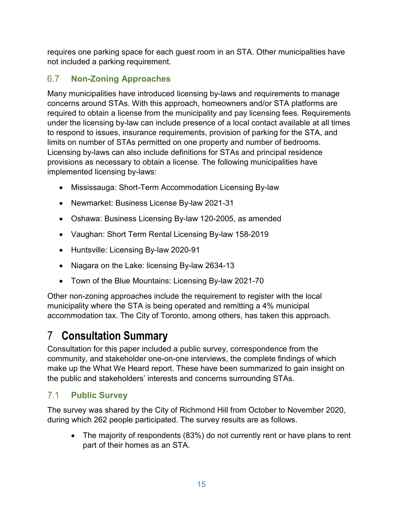requires one parking space for each guest room in an STA. Other municipalities have not included a parking requirement.

### <span id="page-15-0"></span>6.7 **Non-Zoning Approaches**

Many municipalities have introduced licensing by-laws and requirements to manage concerns around STAs. With this approach, homeowners and/or STA platforms are required to obtain a license from the municipality and pay licensing fees. Requirements under the licensing by-law can include presence of a local contact available at all times to respond to issues, insurance requirements, provision of parking for the STA, and limits on number of STAs permitted on one property and number of bedrooms. Licensing by-laws can also include definitions for STAs and principal residence provisions as necessary to obtain a license. The following municipalities have implemented licensing by-laws:

- Mississauga: Short-Term Accommodation Licensing By-law
- Newmarket: Business License By-law 2021-31
- Oshawa: Business Licensing By-law 120-2005, as amended
- Vaughan: Short Term Rental Licensing By-law 158-2019
- Huntsville: Licensing By-law 2020-91
- Niagara on the Lake: licensing By-law 2634-13
- Town of the Blue Mountains: Licensing By-law 2021-70

Other non-zoning approaches include the requirement to register with the local municipality where the STA is being operated and remitting a 4% municipal accommodation tax. The City of Toronto, among others, has taken this approach.

# <span id="page-15-1"></span>7 **Consultation Summary**

Consultation for this paper included a public survey, correspondence from the community, and stakeholder one-on-one interviews, the complete findings of which make up the What We Heard report. These have been summarized to gain insight on the public and stakeholders' interests and concerns surrounding STAs.

### <span id="page-15-2"></span> $7.1$ **Public Survey**

The survey was shared by the City of Richmond Hill from October to November 2020, during which 262 people participated. The survey results are as follows.

• The majority of respondents (83%) do not currently rent or have plans to rent part of their homes as an STA.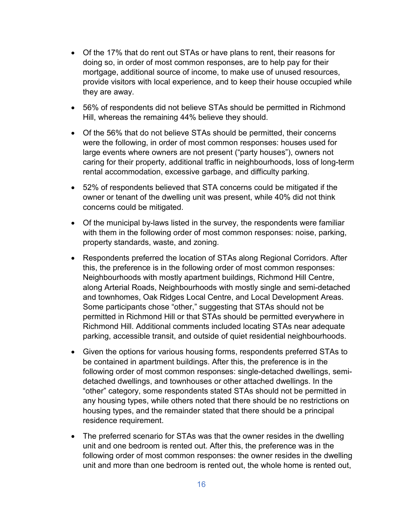- Of the 17% that do rent out STAs or have plans to rent, their reasons for doing so, in order of most common responses, are to help pay for their mortgage, additional source of income, to make use of unused resources, provide visitors with local experience, and to keep their house occupied while they are away.
- 56% of respondents did not believe STAs should be permitted in Richmond Hill, whereas the remaining 44% believe they should.
- Of the 56% that do not believe STAs should be permitted, their concerns were the following, in order of most common responses: houses used for large events where owners are not present ("party houses"), owners not caring for their property, additional traffic in neighbourhoods, loss of long-term rental accommodation, excessive garbage, and difficulty parking.
- 52% of respondents believed that STA concerns could be mitigated if the owner or tenant of the dwelling unit was present, while 40% did not think concerns could be mitigated.
- Of the municipal by-laws listed in the survey, the respondents were familiar with them in the following order of most common responses: noise, parking, property standards, waste, and zoning.
- Respondents preferred the location of STAs along Regional Corridors. After this, the preference is in the following order of most common responses: Neighbourhoods with mostly apartment buildings, Richmond Hill Centre, along Arterial Roads, Neighbourhoods with mostly single and semi-detached and townhomes, Oak Ridges Local Centre, and Local Development Areas. Some participants chose "other," suggesting that STAs should not be permitted in Richmond Hill or that STAs should be permitted everywhere in Richmond Hill. Additional comments included locating STAs near adequate parking, accessible transit, and outside of quiet residential neighbourhoods.
- Given the options for various housing forms, respondents preferred STAs to be contained in apartment buildings. After this, the preference is in the following order of most common responses: single-detached dwellings, semidetached dwellings, and townhouses or other attached dwellings. In the "other" category, some respondents stated STAs should not be permitted in any housing types, while others noted that there should be no restrictions on housing types, and the remainder stated that there should be a principal residence requirement.
- The preferred scenario for STAs was that the owner resides in the dwelling unit and one bedroom is rented out. After this, the preference was in the following order of most common responses: the owner resides in the dwelling unit and more than one bedroom is rented out, the whole home is rented out,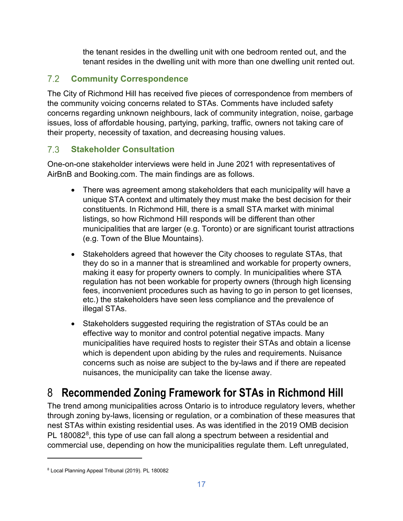the tenant resides in the dwelling unit with one bedroom rented out, and the tenant resides in the dwelling unit with more than one dwelling unit rented out.

### <span id="page-17-0"></span> $7.2$ **Community Correspondence**

The City of Richmond Hill has received five pieces of correspondence from members of the community voicing concerns related to STAs. Comments have included safety concerns regarding unknown neighbours, lack of community integration, noise, garbage issues, loss of affordable housing, partying, parking, traffic, owners not taking care of their property, necessity of taxation, and decreasing housing values.

### <span id="page-17-1"></span> $7.3$ **Stakeholder Consultation**

One-on-one stakeholder interviews were held in June 2021 with representatives of AirBnB and Booking.com. The main findings are as follows.

- There was agreement among stakeholders that each municipality will have a unique STA context and ultimately they must make the best decision for their constituents. In Richmond Hill, there is a small STA market with minimal listings, so how Richmond Hill responds will be different than other municipalities that are larger (e.g. Toronto) or are significant tourist attractions (e.g. Town of the Blue Mountains).
- Stakeholders agreed that however the City chooses to regulate STAs, that they do so in a manner that is streamlined and workable for property owners, making it easy for property owners to comply. In municipalities where STA regulation has not been workable for property owners (through high licensing fees, inconvenient procedures such as having to go in person to get licenses, etc.) the stakeholders have seen less compliance and the prevalence of illegal STAs.
- Stakeholders suggested requiring the registration of STAs could be an effective way to monitor and control potential negative impacts. Many municipalities have required hosts to register their STAs and obtain a license which is dependent upon abiding by the rules and requirements. Nuisance concerns such as noise are subject to the by-laws and if there are repeated nuisances, the municipality can take the license away.

# <span id="page-17-2"></span>8 **Recommended Zoning Framework for STAs in Richmond Hill**

The trend among municipalities across Ontario is to introduce regulatory levers, whether through zoning by-laws, licensing or regulation, or a combination of these measures that nest STAs within existing residential uses. As was identified in the 2019 OMB decision PL 1[8](#page-17-3)0082 $^8$ , this type of use can fall along a spectrum between a residential and commercial use, depending on how the municipalities regulate them. Left unregulated,

 $\overline{a}$ 

<span id="page-17-3"></span><sup>8</sup> Local Planning Appeal Tribunal (2019). PL 180082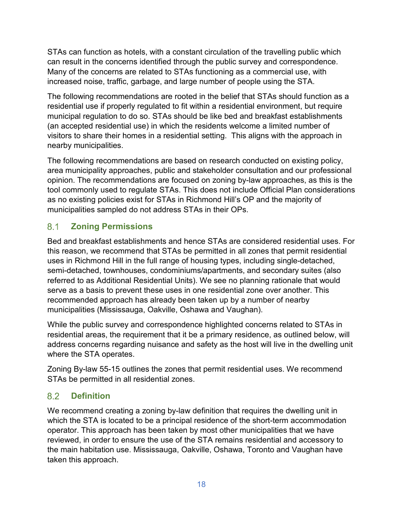STAs can function as hotels, with a constant circulation of the travelling public which can result in the concerns identified through the public survey and correspondence. Many of the concerns are related to STAs functioning as a commercial use, with increased noise, traffic, garbage, and large number of people using the STA.

The following recommendations are rooted in the belief that STAs should function as a residential use if properly regulated to fit within a residential environment, but require municipal regulation to do so. STAs should be like bed and breakfast establishments (an accepted residential use) in which the residents welcome a limited number of visitors to share their homes in a residential setting. This aligns with the approach in nearby municipalities.

The following recommendations are based on research conducted on existing policy, area municipality approaches, public and stakeholder consultation and our professional opinion. The recommendations are focused on zoning by-law approaches, as this is the tool commonly used to regulate STAs. This does not include Official Plan considerations as no existing policies exist for STAs in Richmond Hill's OP and the majority of municipalities sampled do not address STAs in their OPs.

#### <span id="page-18-0"></span> $8.1$ **Zoning Permissions**

Bed and breakfast establishments and hence STAs are considered residential uses. For this reason, we recommend that STAs be permitted in all zones that permit residential uses in Richmond Hill in the full range of housing types, including single-detached, semi-detached, townhouses, condominiums/apartments, and secondary suites (also referred to as Additional Residential Units). We see no planning rationale that would serve as a basis to prevent these uses in one residential zone over another. This recommended approach has already been taken up by a number of nearby municipalities (Mississauga, Oakville, Oshawa and Vaughan).

While the public survey and correspondence highlighted concerns related to STAs in residential areas, the requirement that it be a primary residence, as outlined below, will address concerns regarding nuisance and safety as the host will live in the dwelling unit where the STA operates.

Zoning By-law 55-15 outlines the zones that permit residential uses. We recommend STAs be permitted in all residential zones.

#### <span id="page-18-1"></span>8.2 **Definition**

We recommend creating a zoning by-law definition that requires the dwelling unit in which the STA is located to be a principal residence of the short-term accommodation operator. This approach has been taken by most other municipalities that we have reviewed, in order to ensure the use of the STA remains residential and accessory to the main habitation use. Mississauga, Oakville, Oshawa, Toronto and Vaughan have taken this approach.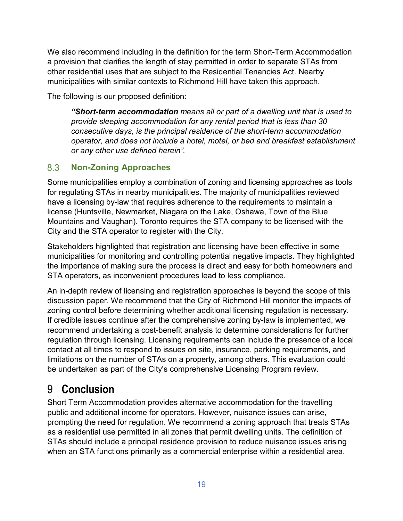We also recommend including in the definition for the term Short-Term Accommodation a provision that clarifies the length of stay permitted in order to separate STAs from other residential uses that are subject to the Residential Tenancies Act. Nearby municipalities with similar contexts to Richmond Hill have taken this approach.

The following is our proposed definition:

*"Short-term accommodation means all or part of a dwelling unit that is used to provide sleeping accommodation for any rental period that is less than 30 consecutive days, is the principal residence of the short-term accommodation operator, and does not include a hotel, motel, or bed and breakfast establishment or any other use defined herein".*

### <span id="page-19-0"></span>8.3 **Non-Zoning Approaches**

Some municipalities employ a combination of zoning and licensing approaches as tools for regulating STAs in nearby municipalities. The majority of municipalities reviewed have a licensing by-law that requires adherence to the requirements to maintain a license (Huntsville, Newmarket, Niagara on the Lake, Oshawa, Town of the Blue Mountains and Vaughan). Toronto requires the STA company to be licensed with the City and the STA operator to register with the City.

Stakeholders highlighted that registration and licensing have been effective in some municipalities for monitoring and controlling potential negative impacts. They highlighted the importance of making sure the process is direct and easy for both homeowners and STA operators, as inconvenient procedures lead to less compliance.

An in-depth review of licensing and registration approaches is beyond the scope of this discussion paper. We recommend that the City of Richmond Hill monitor the impacts of zoning control before determining whether additional licensing regulation is necessary. If credible issues continue after the comprehensive zoning by-law is implemented, we recommend undertaking a cost-benefit analysis to determine considerations for further regulation through licensing. Licensing requirements can include the presence of a local contact at all times to respond to issues on site, insurance, parking requirements, and limitations on the number of STAs on a property, among others. This evaluation could be undertaken as part of the City's comprehensive Licensing Program review.

# <span id="page-19-1"></span>9 **Conclusion**

Short Term Accommodation provides alternative accommodation for the travelling public and additional income for operators. However, nuisance issues can arise, prompting the need for regulation. We recommend a zoning approach that treats STAs as a residential use permitted in all zones that permit dwelling units. The definition of STAs should include a principal residence provision to reduce nuisance issues arising when an STA functions primarily as a commercial enterprise within a residential area.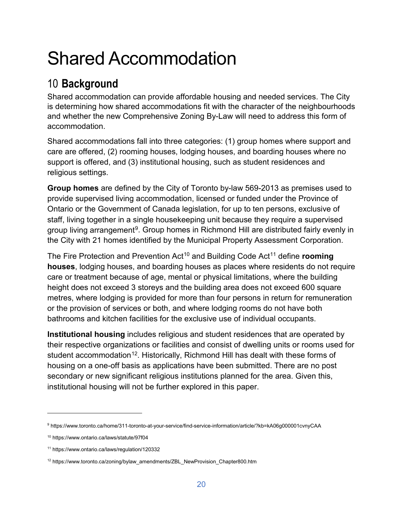# Shared Accommodation

# <span id="page-20-0"></span>10 **Background**

Shared accommodation can provide affordable housing and needed services. The City is determining how shared accommodations fit with the character of the neighbourhoods and whether the new Comprehensive Zoning By-Law will need to address this form of accommodation.

Shared accommodations fall into three categories: (1) group homes where support and care are offered, (2) rooming houses, lodging houses, and boarding houses where no support is offered, and (3) institutional housing, such as student residences and religious settings.

**Group homes** are defined by the City of Toronto by-law 569-2013 as premises used to provide supervised living accommodation, licensed or funded under the Province of Ontario or the Government of Canada legislation, for up to ten persons, exclusive of staff, living together in a single housekeeping unit because they require a supervised group living arrangement<sup>9</sup>. Group homes in Richmond Hill are distributed fairly evenly in the City with 21 homes identified by the Municipal Property Assessment Corporation.

The Fire Protection and Prevention Act<sup>[10](#page-20-2)</sup> and Building Code Act<sup>[11](#page-20-3)</sup> define **rooming houses**, lodging houses, and boarding houses as places where residents do not require care or treatment because of age, mental or physical limitations, where the building height does not exceed 3 storeys and the building area does not exceed 600 square metres, where lodging is provided for more than four persons in return for remuneration or the provision of services or both, and where lodging rooms do not have both bathrooms and kitchen facilities for the exclusive use of individual occupants.

**Institutional housing** includes religious and student residences that are operated by their respective organizations or facilities and consist of dwelling units or rooms used for student accommodation<sup>12</sup>. Historically, Richmond Hill has dealt with these forms of housing on a one-off basis as applications have been submitted. There are no post secondary or new significant religious institutions planned for the area. Given this, institutional housing will not be further explored in this paper.

 $\overline{a}$ 

<span id="page-20-1"></span><sup>9</sup> https://www.toronto.ca/home/311-toronto-at-your-service/find-service-information/article/?kb=kA06g000001cvnyCAA

<span id="page-20-2"></span><sup>10</sup> https://www.ontario.ca/laws/statute/97f04

<span id="page-20-3"></span><sup>11</sup> https://www.ontario.ca/laws/regulation/120332

<span id="page-20-4"></span><sup>&</sup>lt;sup>12</sup> https://www.toronto.ca/zoning/bylaw\_amendments/ZBL\_NewProvision\_Chapter800.htm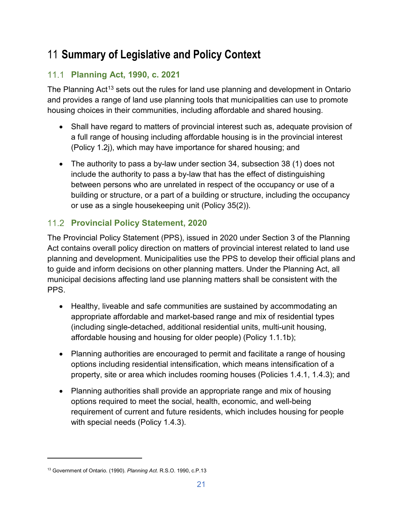# <span id="page-21-0"></span>11 **Summary of Legislative and Policy Context**

# <span id="page-21-1"></span>**Planning Act, 1990, c. 2021**

The Planning Act<sup>[13](#page-21-3)</sup> sets out the rules for land use planning and development in Ontario and provides a range of land use planning tools that municipalities can use to promote housing choices in their communities, including affordable and shared housing.

- Shall have regard to matters of provincial interest such as, adequate provision of a full range of housing including affordable housing is in the provincial interest (Policy 1.2j), which may have importance for shared housing; and
- The authority to pass a by-law under section 34, subsection 38 (1) does not include the authority to pass a by-law that has the effect of distinguishing between persons who are unrelated in respect of the occupancy or use of a building or structure, or a part of a building or structure, including the occupancy or use as a single housekeeping unit (Policy 35(2)).

# <span id="page-21-2"></span>**Provincial Policy Statement, 2020**

The Provincial Policy Statement (PPS), issued in 2020 under Section 3 of the Planning Act contains overall policy direction on matters of provincial interest related to land use planning and development. Municipalities use the PPS to develop their official plans and to guide and inform decisions on other planning matters. Under the Planning Act, all municipal decisions affecting land use planning matters shall be consistent with the PPS.

- Healthy, liveable and safe communities are sustained by accommodating an appropriate affordable and market-based range and mix of residential types (including single-detached, additional residential units, multi-unit housing, affordable housing and housing for older people) (Policy 1.1.1b);
- Planning authorities are encouraged to permit and facilitate a range of housing options including residential intensification, which means intensification of a property, site or area which includes rooming houses (Policies 1.4.1, 1.4.3); and
- Planning authorities shall provide an appropriate range and mix of housing options required to meet the social, health, economic, and well-being requirement of current and future residents, which includes housing for people with special needs (Policy 1.4.3).

 $\overline{a}$ 

<span id="page-21-3"></span><sup>13</sup> Government of Ontario. (1990). *Planning Act.* R.S.O. 1990, c.P.13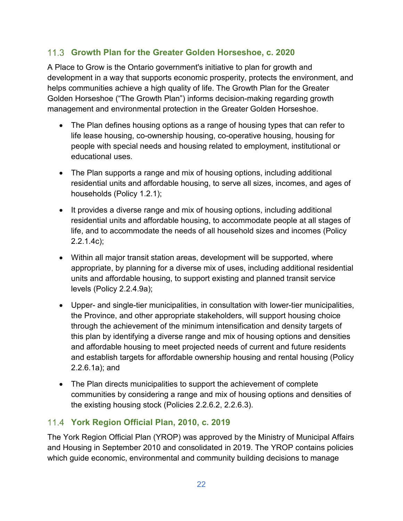# <span id="page-22-0"></span>**Growth Plan for the Greater Golden Horseshoe, c. 2020**

A Place to Grow is the Ontario government's initiative to plan for growth and development in a way that supports economic prosperity, protects the environment, and helps communities achieve a high quality of life. The Growth Plan for the Greater Golden Horseshoe ("The Growth Plan") informs decision-making regarding growth management and environmental protection in the Greater Golden Horseshoe.

- The Plan defines housing options as a range of housing types that can refer to life lease housing, co-ownership housing, co-operative housing, housing for people with special needs and housing related to employment, institutional or educational uses.
- The Plan supports a range and mix of housing options, including additional residential units and affordable housing, to serve all sizes, incomes, and ages of households (Policy 1.2.1);
- It provides a diverse range and mix of housing options, including additional residential units and affordable housing, to accommodate people at all stages of life, and to accommodate the needs of all household sizes and incomes (Policy 2.2.1.4c);
- Within all major transit station areas, development will be supported, where appropriate, by planning for a diverse mix of uses, including additional residential units and affordable housing, to support existing and planned transit service levels (Policy 2.2.4.9a);
- Upper- and single-tier municipalities, in consultation with lower-tier municipalities, the Province, and other appropriate stakeholders, will support housing choice through the achievement of the minimum intensification and density targets of this plan by identifying a diverse range and mix of housing options and densities and affordable housing to meet projected needs of current and future residents and establish targets for affordable ownership housing and rental housing (Policy 2.2.6.1a); and
- The Plan directs municipalities to support the achievement of complete communities by considering a range and mix of housing options and densities of the existing housing stock (Policies 2.2.6.2, 2.2.6.3).

# <span id="page-22-1"></span>**York Region Official Plan, 2010, c. 2019**

The York Region Official Plan (YROP) was approved by the Ministry of Municipal Affairs and Housing in September 2010 and consolidated in 2019. The YROP contains policies which guide economic, environmental and community building decisions to manage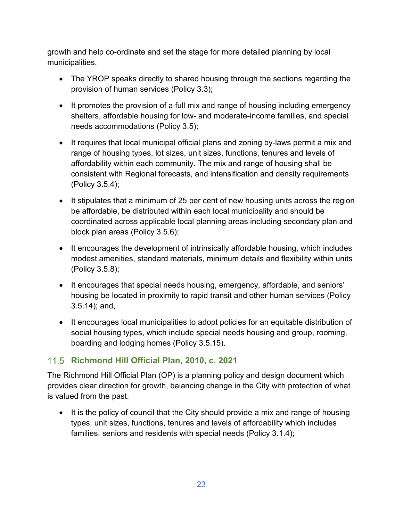growth and help co-ordinate and set the stage for more detailed planning by local municipalities.

- The YROP speaks directly to shared housing through the sections regarding the provision of human services (Policy 3.3);
- It promotes the provision of a full mix and range of housing including emergency shelters, affordable housing for low- and moderate-income families, and special needs accommodations (Policy 3.5);
- It requires that local municipal official plans and zoning by-laws permit a mix and range of housing types, lot sizes, unit sizes, functions, tenures and levels of affordability within each community. The mix and range of housing shall be consistent with Regional forecasts, and intensification and density requirements (Policy 3.5.4);
- It stipulates that a minimum of 25 per cent of new housing units across the region be affordable, be distributed within each local municipality and should be coordinated across applicable local planning areas including secondary plan and block plan areas (Policy 3.5.6);
- It encourages the development of intrinsically affordable housing, which includes modest amenities, standard materials, minimum details and flexibility within units (Policy 3.5.8);
- It encourages that special needs housing, emergency, affordable, and seniors' housing be located in proximity to rapid transit and other human services (Policy 3.5.14); and,
- It encourages local municipalities to adopt policies for an equitable distribution of social housing types, which include special needs housing and group, rooming, boarding and lodging homes (Policy 3.5.15).

# <span id="page-23-0"></span>**Richmond Hill Official Plan, 2010, c. 2021**

The Richmond Hill Official Plan (OP) is a planning policy and design document which provides clear direction for growth, balancing change in the City with protection of what is valued from the past.

• It is the policy of council that the City should provide a mix and range of housing types, unit sizes, functions, tenures and levels of affordability which includes families, seniors and residents with special needs (Policy 3.1.4);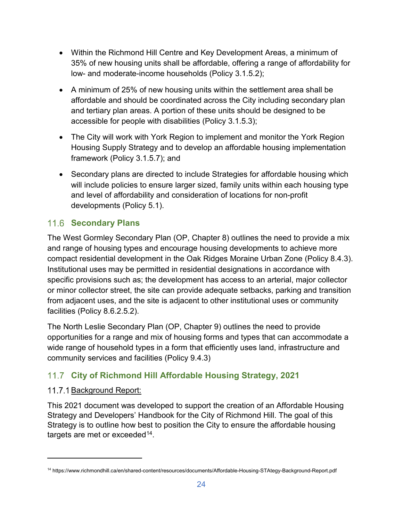- Within the Richmond Hill Centre and Key Development Areas, a minimum of 35% of new housing units shall be affordable, offering a range of affordability for low- and moderate-income households (Policy 3.1.5.2);
- A minimum of 25% of new housing units within the settlement area shall be affordable and should be coordinated across the City including secondary plan and tertiary plan areas. A portion of these units should be designed to be accessible for people with disabilities (Policy 3.1.5.3);
- The City will work with York Region to implement and monitor the York Region Housing Supply Strategy and to develop an affordable housing implementation framework (Policy 3.1.5.7); and
- Secondary plans are directed to include Strategies for affordable housing which will include policies to ensure larger sized, family units within each housing type and level of affordability and consideration of locations for non-profit developments (Policy 5.1).

# <span id="page-24-0"></span>**11.6 Secondary Plans**

The West Gormley Secondary Plan (OP, Chapter 8) outlines the need to provide a mix and range of housing types and encourage housing developments to achieve more compact residential development in the Oak Ridges Moraine Urban Zone (Policy 8.4.3). Institutional uses may be permitted in residential designations in accordance with specific provisions such as; the development has access to an arterial, major collector or minor collector street, the site can provide adequate setbacks, parking and transition from adjacent uses, and the site is adjacent to other institutional uses or community facilities (Policy 8.6.2.5.2).

The North Leslie Secondary Plan (OP, Chapter 9) outlines the need to provide opportunities for a range and mix of housing forms and types that can accommodate a wide range of household types in a form that efficiently uses land, infrastructure and community services and facilities (Policy 9.4.3)

# <span id="page-24-1"></span>**City of Richmond Hill Affordable Housing Strategy, 2021**

# <span id="page-24-2"></span>11.7.1 Background Report:

 $\overline{a}$ 

This 2021 document was developed to support the creation of an Affordable Housing Strategy and Developers' Handbook for the City of Richmond Hill. The goal of this Strategy is to outline how best to position the City to ensure the affordable housing targets are met or exceeded<sup>[14](#page-24-3)</sup>.

<span id="page-24-3"></span><sup>14</sup> https://www.richmondhill.ca/en/shared-content/resources/documents/Affordable-Housing-STAtegy-Background-Report.pdf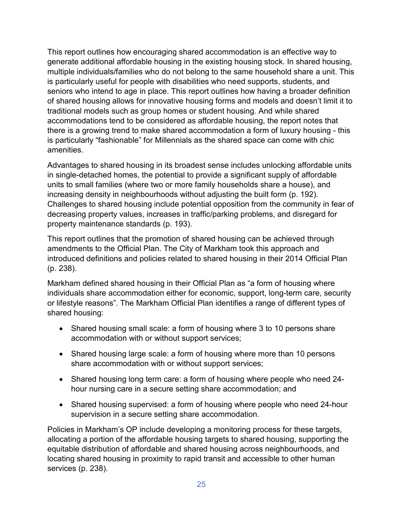This report outlines how encouraging shared accommodation is an effective way to generate additional affordable housing in the existing housing stock. In shared housing, multiple individuals/families who do not belong to the same household share a unit. This is particularly useful for people with disabilities who need supports, students, and seniors who intend to age in place. This report outlines how having a broader definition of shared housing allows for innovative housing forms and models and doesn't limit it to traditional models such as group homes or student housing. And while shared accommodations tend to be considered as affordable housing, the report notes that there is a growing trend to make shared accommodation a form of luxury housing - this is particularly "fashionable" for Millennials as the shared space can come with chic amenities.

Advantages to shared housing in its broadest sense includes unlocking affordable units in single-detached homes, the potential to provide a significant supply of affordable units to small families (where two or more family households share a house), and increasing density in neighbourhoods without adjusting the built form (p. 192). Challenges to shared housing include potential opposition from the community in fear of decreasing property values, increases in traffic/parking problems, and disregard for property maintenance standards (p. 193).

This report outlines that the promotion of shared housing can be achieved through amendments to the Official Plan. The City of Markham took this approach and introduced definitions and policies related to shared housing in their 2014 Official Plan (p. 238).

Markham defined shared housing in their Official Plan as "a form of housing where individuals share accommodation either for economic, support, long-term care, security or lifestyle reasons". The Markham Official Plan identifies a range of different types of shared housing:

- Shared housing small scale: a form of housing where 3 to 10 persons share accommodation with or without support services;
- Shared housing large scale: a form of housing where more than 10 persons share accommodation with or without support services;
- Shared housing long term care: a form of housing where people who need 24 hour nursing care in a secure setting share accommodation; and
- Shared housing supervised: a form of housing where people who need 24-hour supervision in a secure setting share accommodation.

Policies in Markham's OP include developing a monitoring process for these targets, allocating a portion of the affordable housing targets to shared housing, supporting the equitable distribution of affordable and shared housing across neighbourhoods, and locating shared housing in proximity to rapid transit and accessible to other human services (p. 238).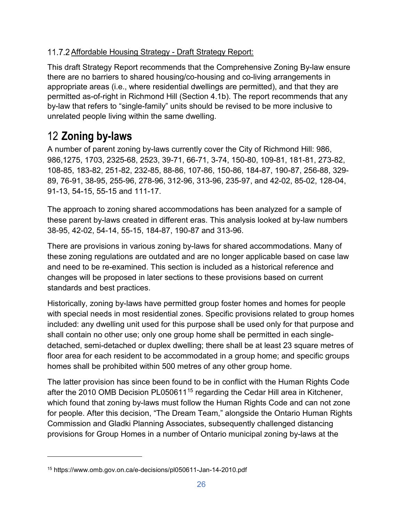# <span id="page-26-0"></span>11.7.2 Affordable Housing Strategy - Draft Strategy Report:

This draft Strategy Report recommends that the Comprehensive Zoning By-law ensure there are no barriers to shared housing/co-housing and co-living arrangements in appropriate areas (i.e., where residential dwellings are permitted), and that they are permitted as-of-right in Richmond Hill (Section 4.1b). The report recommends that any by-law that refers to "single-family" units should be revised to be more inclusive to unrelated people living within the same dwelling.

# <span id="page-26-1"></span>12 **Zoning by-laws**

A number of parent zoning by-laws currently cover the City of Richmond Hill: 986, 986,1275, 1703, 2325-68, 2523, 39-71, 66-71, 3-74, 150-80, 109-81, 181-81, 273-82, 108-85, 183-82, 251-82, 232-85, 88-86, 107-86, 150-86, 184-87, 190-87, 256-88, 329- 89, 76-91, 38-95, 255-96, 278-96, 312-96, 313-96, 235-97, and 42-02, 85-02, 128-04, 91-13, 54-15, 55-15 and 111-17.

The approach to zoning shared accommodations has been analyzed for a sample of these parent by-laws created in different eras. This analysis looked at by-law numbers 38-95, 42-02, 54-14, 55-15, 184-87, 190-87 and 313-96.

There are provisions in various zoning by-laws for shared accommodations. Many of these zoning regulations are outdated and are no longer applicable based on case law and need to be re-examined. This section is included as a historical reference and changes will be proposed in later sections to these provisions based on current standards and best practices.

Historically, zoning by-laws have permitted group foster homes and homes for people with special needs in most residential zones. Specific provisions related to group homes included: any dwelling unit used for this purpose shall be used only for that purpose and shall contain no other use; only one group home shall be permitted in each singledetached, semi-detached or duplex dwelling; there shall be at least 23 square metres of floor area for each resident to be accommodated in a group home; and specific groups homes shall be prohibited within 500 metres of any other group home.

The latter provision has since been found to be in conflict with the Human Rights Code after the 2010 OMB Decision PL050611[15](#page-26-2) regarding the Cedar Hill area in Kitchener, which found that zoning by-laws must follow the Human Rights Code and can not zone for people. After this decision, "The Dream Team," alongside the Ontario Human Rights Commission and Gladki Planning Associates, subsequently challenged distancing provisions for Group Homes in a number of Ontario municipal zoning by-laws at the

 $\overline{a}$ 

<span id="page-26-2"></span><sup>15</sup> https://www.omb.gov.on.ca/e-decisions/pl050611-Jan-14-2010.pdf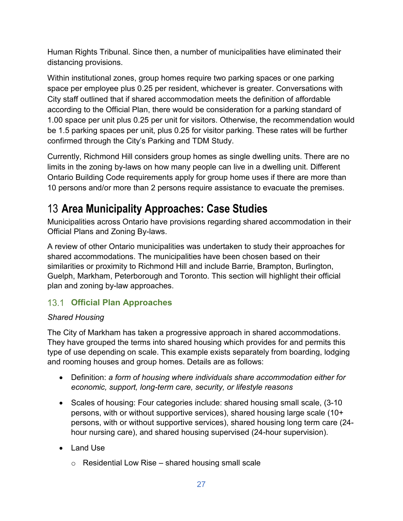Human Rights Tribunal. Since then, a number of municipalities have eliminated their distancing provisions.

Within institutional zones, group homes require two parking spaces or one parking space per employee plus 0.25 per resident, whichever is greater. Conversations with City staff outlined that if shared accommodation meets the definition of affordable according to the Official Plan, there would be consideration for a parking standard of 1.00 space per unit plus 0.25 per unit for visitors. Otherwise, the recommendation would be 1.5 parking spaces per unit, plus 0.25 for visitor parking. These rates will be further confirmed through the City's Parking and TDM Study.

Currently, Richmond Hill considers group homes as single dwelling units. There are no limits in the zoning by-laws on how many people can live in a dwelling unit. Different Ontario Building Code requirements apply for group home uses if there are more than 10 persons and/or more than 2 persons require assistance to evacuate the premises.

# <span id="page-27-0"></span>13 **Area Municipality Approaches: Case Studies**

Municipalities across Ontario have provisions regarding shared accommodation in their Official Plans and Zoning By-laws.

A review of other Ontario municipalities was undertaken to study their approaches for shared accommodations. The municipalities have been chosen based on their similarities or proximity to Richmond Hill and include Barrie, Brampton, Burlington, Guelph, Markham, Peterborough and Toronto. This section will highlight their official plan and zoning by-law approaches.

# <span id="page-27-1"></span>**Official Plan Approaches**

# *Shared Housing*

The City of Markham has taken a progressive approach in shared accommodations. They have grouped the terms into shared housing which provides for and permits this type of use depending on scale. This example exists separately from boarding, lodging and rooming houses and group homes. Details are as follows:

- Definition: *a form of housing where individuals share accommodation either for economic, support, long-term care, security, or lifestyle reasons*
- Scales of housing: Four categories include: shared housing small scale, (3-10 persons, with or without supportive services), shared housing large scale (10+ persons, with or without supportive services), shared housing long term care (24 hour nursing care), and shared housing supervised (24-hour supervision).
- Land Use
	- $\circ$  Residential Low Rise shared housing small scale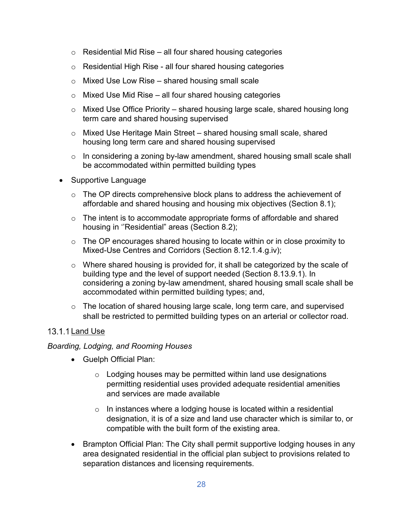- $\circ$  Residential Mid Rise all four shared housing categories
- o Residential High Rise all four shared housing categories
- $\circ$  Mixed Use Low Rise shared housing small scale
- $\circ$  Mixed Use Mid Rise all four shared housing categories
- $\circ$  Mixed Use Office Priority shared housing large scale, shared housing long term care and shared housing supervised
- o Mixed Use Heritage Main Street shared housing small scale, shared housing long term care and shared housing supervised
- o In considering a zoning by-law amendment, shared housing small scale shall be accommodated within permitted building types
- Supportive Language
	- $\circ$  The OP directs comprehensive block plans to address the achievement of affordable and shared housing and housing mix objectives (Section 8.1);
	- $\circ$  The intent is to accommodate appropriate forms of affordable and shared housing in ''Residential" areas (Section 8.2);
	- $\circ$  The OP encourages shared housing to locate within or in close proximity to Mixed-Use Centres and Corridors (Section 8.12.1.4.g.iv);
	- o Where shared housing is provided for, it shall be categorized by the scale of building type and the level of support needed (Section 8.13.9.1). In considering a zoning by-law amendment, shared housing small scale shall be accommodated within permitted building types; and,
	- $\circ$  The location of shared housing large scale, long term care, and supervised shall be restricted to permitted building types on an arterial or collector road.

## <span id="page-28-0"></span>13.1.1 Land Use

## *Boarding, Lodging, and Rooming Houses*

- Guelph Official Plan:
	- o Lodging houses may be permitted within land use designations permitting residential uses provided adequate residential amenities and services are made available
	- $\circ$  In instances where a lodging house is located within a residential designation, it is of a size and land use character which is similar to, or compatible with the built form of the existing area.
- Brampton Official Plan: The City shall permit supportive lodging houses in any area designated residential in the official plan subject to provisions related to separation distances and licensing requirements.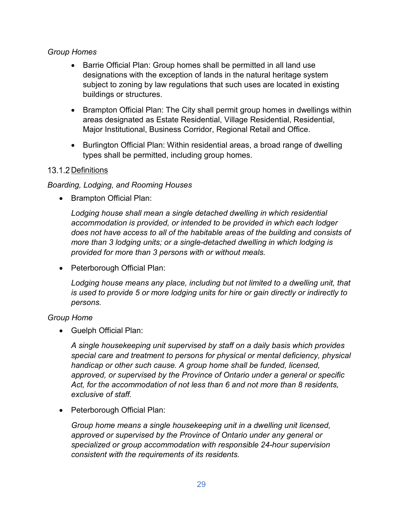### *Group Homes*

- Barrie Official Plan: Group homes shall be permitted in all land use designations with the exception of lands in the natural heritage system subject to zoning by law regulations that such uses are located in existing buildings or structures.
- Brampton Official Plan: The City shall permit group homes in dwellings within areas designated as Estate Residential, Village Residential, Residential, Major Institutional, Business Corridor, Regional Retail and Office.
- Burlington Official Plan: Within residential areas, a broad range of dwelling types shall be permitted, including group homes.

## <span id="page-29-0"></span>13.1.2 Definitions

## *Boarding, Lodging, and Rooming Houses*

• Brampton Official Plan:

Lodging house shall mean a single detached dwelling in which residential *accommodation is provided, or intended to be provided in which each lodger does not have access to all of the habitable areas of the building and consists of more than 3 lodging units; or a single-detached dwelling in which lodging is provided for more than 3 persons with or without meals.* 

• Peterborough Official Plan:

Lodging house means any place, including but not limited to a dwelling unit, that *is used to provide 5 or more lodging units for hire or gain directly or indirectly to persons.* 

## *Group Home*

• Guelph Official Plan:

*A single housekeeping unit supervised by staff on a daily basis which provides special care and treatment to persons for physical or mental deficiency, physical handicap or other such cause. A group home shall be funded, licensed, approved, or supervised by the Province of Ontario under a general or specific Act, for the accommodation of not less than 6 and not more than 8 residents, exclusive of staff.* 

• Peterborough Official Plan:

*Group home means a single housekeeping unit in a dwelling unit licensed, approved or supervised by the Province of Ontario under any general or specialized or group accommodation with responsible 24-hour supervision consistent with the requirements of its residents.*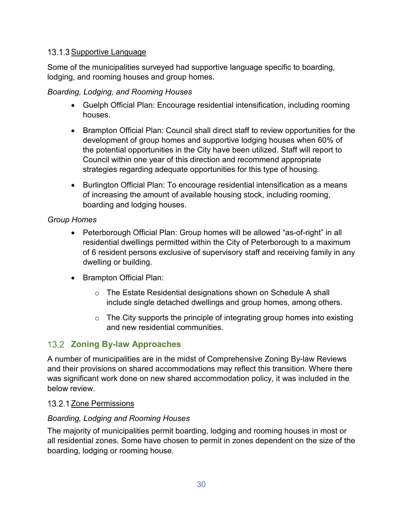## <span id="page-30-0"></span>13.1.3 Supportive Language

Some of the municipalities surveyed had supportive language specific to boarding, lodging, and rooming houses and group homes.

## *Boarding, Lodging, and Rooming Houses*

- Guelph Official Plan: Encourage residential intensification, including rooming houses.
- Brampton Official Plan: Council shall direct staff to review opportunities for the development of group homes and supportive lodging houses when 60% of the potential opportunities in the City have been utilized. Staff will report to Council within one year of this direction and recommend appropriate strategies regarding adequate opportunities for this type of housing.
- Burlington Official Plan: To encourage residential intensification as a means of increasing the amount of available housing stock, including rooming, boarding and lodging houses.

## *Group Homes*

- Peterborough Official Plan: Group homes will be allowed "as-of-right" in all residential dwellings permitted within the City of Peterborough to a maximum of 6 resident persons exclusive of supervisory staff and receiving family in any dwelling or building.
- Brampton Official Plan:
	- o The Estate Residential designations shown on Schedule A shall include single detached dwellings and group homes, among others.
	- $\circ$  The City supports the principle of integrating group homes into existing and new residential communities.

# <span id="page-30-1"></span>**22 Zoning By-law Approaches**

A number of municipalities are in the midst of Comprehensive Zoning By-law Reviews and their provisions on shared accommodations may reflect this transition. Where there was significant work done on new shared accommodation policy, it was included in the below review.

# <span id="page-30-2"></span>13.2.1 Zone Permissions

## *Boarding, Lodging and Rooming Houses*

The majority of municipalities permit boarding, lodging and rooming houses in most or all residential zones. Some have chosen to permit in zones dependent on the size of the boarding, lodging or rooming house.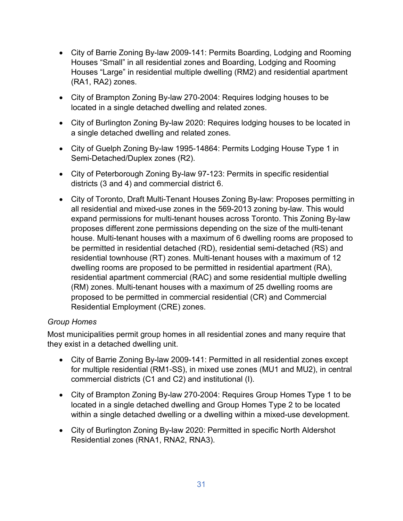- City of Barrie Zoning By-law 2009-141: Permits Boarding, Lodging and Rooming Houses "Small" in all residential zones and Boarding, Lodging and Rooming Houses "Large" in residential multiple dwelling (RM2) and residential apartment (RA1, RA2) zones.
- City of Brampton Zoning By-law 270-2004: Requires lodging houses to be located in a single detached dwelling and related zones.
- City of Burlington Zoning By-law 2020: Requires lodging houses to be located in a single detached dwelling and related zones.
- City of Guelph Zoning By-law 1995-14864: Permits Lodging House Type 1 in Semi-Detached/Duplex zones (R2).
- City of Peterborough Zoning By-law 97-123: Permits in specific residential districts (3 and 4) and commercial district 6.
- City of Toronto, Draft Multi-Tenant Houses Zoning By-law: Proposes permitting in all residential and mixed-use zones in the 569-2013 zoning by-law. This would expand permissions for multi-tenant houses across Toronto. This Zoning By-law proposes different zone permissions depending on the size of the multi-tenant house. Multi-tenant houses with a maximum of 6 dwelling rooms are proposed to be permitted in residential detached (RD), residential semi-detached (RS) and residential townhouse (RT) zones. Multi-tenant houses with a maximum of 12 dwelling rooms are proposed to be permitted in residential apartment (RA), residential apartment commercial (RAC) and some residential multiple dwelling (RM) zones. Multi-tenant houses with a maximum of 25 dwelling rooms are proposed to be permitted in commercial residential (CR) and Commercial Residential Employment (CRE) zones.

## *Group Homes*

Most municipalities permit group homes in all residential zones and many require that they exist in a detached dwelling unit.

- City of Barrie Zoning By-law 2009-141: Permitted in all residential zones except for multiple residential (RM1-SS), in mixed use zones (MU1 and MU2), in central commercial districts (C1 and C2) and institutional (I).
- City of Brampton Zoning By-law 270-2004: Requires Group Homes Type 1 to be located in a single detached dwelling and Group Homes Type 2 to be located within a single detached dwelling or a dwelling within a mixed-use development.
- City of Burlington Zoning By-law 2020: Permitted in specific North Aldershot Residential zones (RNA1, RNA2, RNA3).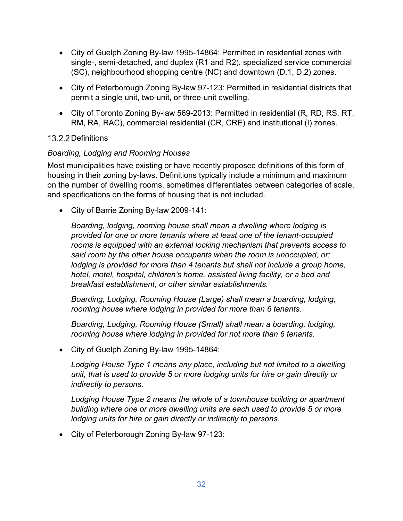- City of Guelph Zoning By-law 1995-14864: Permitted in residential zones with single-, semi-detached, and duplex (R1 and R2), specialized service commercial (SC), neighbourhood shopping centre (NC) and downtown (D.1, D.2) zones.
- City of Peterborough Zoning By-law 97-123: Permitted in residential districts that permit a single unit, two-unit, or three-unit dwelling.
- City of Toronto Zoning By-law 569-2013: Permitted in residential (R, RD, RS, RT, RM, RA, RAC), commercial residential (CR, CRE) and institutional (I) zones.

## <span id="page-32-0"></span>13.2.2 Definitions

## *Boarding, Lodging and Rooming Houses*

Most municipalities have existing or have recently proposed definitions of this form of housing in their zoning by-laws. Definitions typically include a minimum and maximum on the number of dwelling rooms, sometimes differentiates between categories of scale, and specifications on the forms of housing that is not included.

• City of Barrie Zoning By-law 2009-141:

*Boarding, lodging, rooming house shall mean a dwelling where lodging is provided for one or more tenants where at least one of the tenant-occupied rooms is equipped with an external locking mechanism that prevents access to said room by the other house occupants when the room is unoccupied, or; lodging is provided for more than 4 tenants but shall not include a group home, hotel, motel, hospital, children's home, assisted living facility, or a bed and breakfast establishment, or other similar establishments.* 

*Boarding, Lodging, Rooming House (Large) shall mean a boarding, lodging, rooming house where lodging in provided for more than 6 tenants.* 

*Boarding, Lodging, Rooming House (Small) shall mean a boarding, lodging, rooming house where lodging in provided for not more than 6 tenants.* 

• City of Guelph Zoning By-law 1995-14864:

*Lodging House Type 1 means any place, including but not limited to a dwelling unit, that is used to provide 5 or more lodging units for hire or gain directly or indirectly to persons.* 

*Lodging House Type 2 means the whole of a townhouse building or apartment building where one or more dwelling units are each used to provide 5 or more lodging units for hire or gain directly or indirectly to persons.* 

• City of Peterborough Zoning By-law 97-123: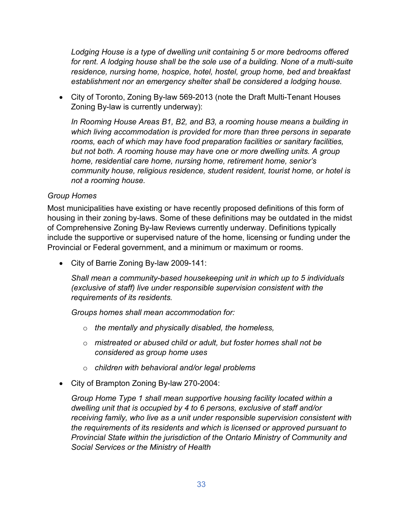*Lodging House is a type of dwelling unit containing 5 or more bedrooms offered*  for rent. A lodging house shall be the sole use of a building. None of a multi-suite *residence, nursing home, hospice, hotel, hostel, group home, bed and breakfast establishment nor an emergency shelter shall be considered a lodging house.* 

• City of Toronto, Zoning By-law 569-2013 (note the Draft Multi-Tenant Houses Zoning By-law is currently underway):

*In Rooming House Areas B1, B2, and B3, a rooming house means a building in which living accommodation is provided for more than three persons in separate rooms, each of which may have food preparation facilities or sanitary facilities, but not both. A rooming house may have one or more dwelling units. A group home, residential care home, nursing home, retirement home, senior's community house, religious residence, student resident, tourist home, or hotel is not a rooming house.*

### *Group Homes*

Most municipalities have existing or have recently proposed definitions of this form of housing in their zoning by-laws. Some of these definitions may be outdated in the midst of Comprehensive Zoning By-law Reviews currently underway. Definitions typically include the supportive or supervised nature of the home, licensing or funding under the Provincial or Federal government, and a minimum or maximum or rooms.

• City of Barrie Zoning By-law 2009-141:

*Shall mean a community-based housekeeping unit in which up to 5 individuals (exclusive of staff) live under responsible supervision consistent with the requirements of its residents.* 

*Groups homes shall mean accommodation for:* 

- o *the mentally and physically disabled, the homeless,*
- o *mistreated or abused child or adult, but foster homes shall not be considered as group home uses*
- o *children with behavioral and/or legal problems*
- City of Brampton Zoning By-law 270-2004:

*Group Home Type 1 shall mean supportive housing facility located within a dwelling unit that is occupied by 4 to 6 persons, exclusive of staff and/or receiving family, who live as a unit under responsible supervision consistent with the requirements of its residents and which is licensed or approved pursuant to Provincial State within the jurisdiction of the Ontario Ministry of Community and Social Services or the Ministry of Health*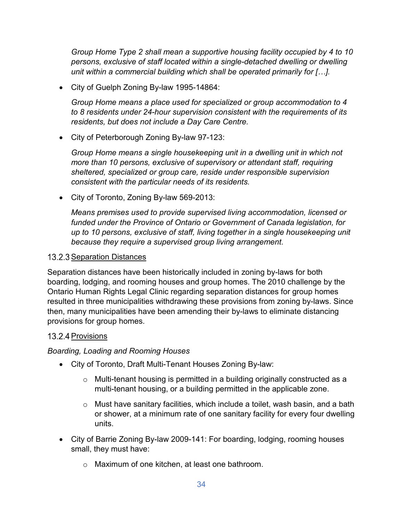*Group Home Type 2 shall mean a supportive housing facility occupied by 4 to 10 persons, exclusive of staff located within a single-detached dwelling or dwelling unit within a commercial building which shall be operated primarily for […].*

• City of Guelph Zoning By-law 1995-14864:

*Group Home means a place used for specialized or group accommodation to 4 to 8 residents under 24-hour supervision consistent with the requirements of its residents, but does not include a Day Care Centre.* 

• City of Peterborough Zoning By-law 97-123:

*Group Home means a single housekeeping unit in a dwelling unit in which not more than 10 persons, exclusive of supervisory or attendant staff, requiring sheltered, specialized or group care, reside under responsible supervision consistent with the particular needs of its residents.*

• City of Toronto, Zoning By-law 569-2013:

*Means premises used to provide supervised living accommodation, licensed or funded under the Province of Ontario or Government of Canada legislation, for up to 10 persons, exclusive of staff, living together in a single housekeeping unit because they require a supervised group living arrangement.*

### <span id="page-34-0"></span>13.2.3 Separation Distances

Separation distances have been historically included in zoning by-laws for both boarding, lodging, and rooming houses and group homes. The 2010 challenge by the Ontario Human Rights Legal Clinic regarding separation distances for group homes resulted in three municipalities withdrawing these provisions from zoning by-laws. Since then, many municipalities have been amending their by-laws to eliminate distancing provisions for group homes.

### <span id="page-34-1"></span>13.2.4 Provisions

### *Boarding, Loading and Rooming Houses*

- City of Toronto, Draft Multi-Tenant Houses Zoning By-law:
	- o Multi-tenant housing is permitted in a building originally constructed as a multi-tenant housing, or a building permitted in the applicable zone.
	- $\circ$  Must have sanitary facilities, which include a toilet, wash basin, and a bath or shower, at a minimum rate of one sanitary facility for every four dwelling units.
- City of Barrie Zoning By-law 2009-141: For boarding, lodging, rooming houses small, they must have:
	- o Maximum of one kitchen, at least one bathroom.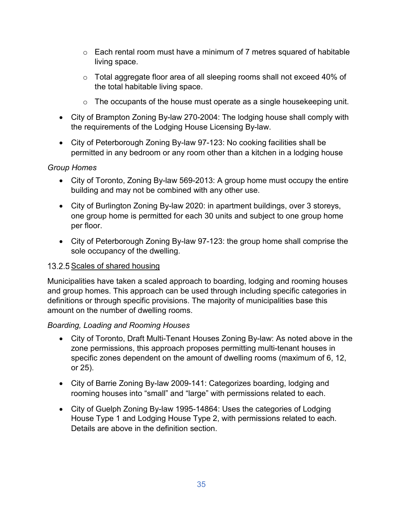- $\circ$  Each rental room must have a minimum of 7 metres squared of habitable living space.
- o Total aggregate floor area of all sleeping rooms shall not exceed 40% of the total habitable living space.
- $\circ$  The occupants of the house must operate as a single housekeeping unit.
- City of Brampton Zoning By-law 270-2004: The lodging house shall comply with the requirements of the Lodging House Licensing By-law.
- City of Peterborough Zoning By-law 97-123: No cooking facilities shall be permitted in any bedroom or any room other than a kitchen in a lodging house

## *Group Homes*

- City of Toronto, Zoning By-law 569-2013: A group home must occupy the entire building and may not be combined with any other use.
- City of Burlington Zoning By-law 2020: in apartment buildings, over 3 storeys, one group home is permitted for each 30 units and subject to one group home per floor.
- City of Peterborough Zoning By-law 97-123: the group home shall comprise the sole occupancy of the dwelling.

# <span id="page-35-0"></span>13.2.5 Scales of shared housing

Municipalities have taken a scaled approach to boarding, lodging and rooming houses and group homes. This approach can be used through including specific categories in definitions or through specific provisions. The majority of municipalities base this amount on the number of dwelling rooms.

## *Boarding, Loading and Rooming Houses*

- City of Toronto, Draft Multi-Tenant Houses Zoning By-law: As noted above in the zone permissions, this approach proposes permitting multi-tenant houses in specific zones dependent on the amount of dwelling rooms (maximum of 6, 12, or 25).
- City of Barrie Zoning By-law 2009-141: Categorizes boarding, lodging and rooming houses into "small" and "large" with permissions related to each.
- City of Guelph Zoning By-law 1995-14864: Uses the categories of Lodging House Type 1 and Lodging House Type 2, with permissions related to each. Details are above in the definition section.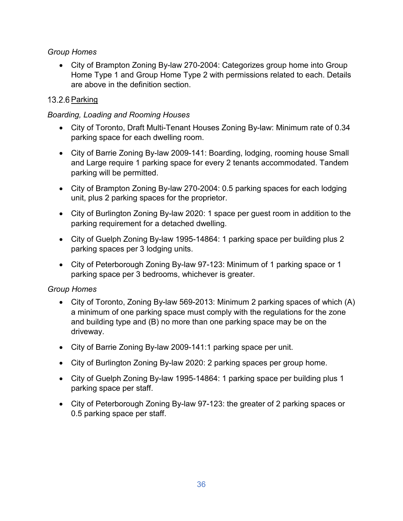## *Group Homes*

• City of Brampton Zoning By-law 270-2004: Categorizes group home into Group Home Type 1 and Group Home Type 2 with permissions related to each. Details are above in the definition section.

# <span id="page-36-0"></span>13.2.6 Parking

## *Boarding, Loading and Rooming Houses*

- City of Toronto, Draft Multi-Tenant Houses Zoning By-law: Minimum rate of 0.34 parking space for each dwelling room.
- City of Barrie Zoning By-law 2009-141: Boarding, lodging, rooming house Small and Large require 1 parking space for every 2 tenants accommodated. Tandem parking will be permitted.
- City of Brampton Zoning By-law 270-2004: 0.5 parking spaces for each lodging unit, plus 2 parking spaces for the proprietor.
- City of Burlington Zoning By-law 2020: 1 space per guest room in addition to the parking requirement for a detached dwelling.
- City of Guelph Zoning By-law 1995-14864: 1 parking space per building plus 2 parking spaces per 3 lodging units.
- City of Peterborough Zoning By-law 97-123: Minimum of 1 parking space or 1 parking space per 3 bedrooms, whichever is greater.

## *Group Homes*

- City of Toronto, Zoning By-law 569-2013: Minimum 2 parking spaces of which (A) a minimum of one parking space must comply with the regulations for the zone and building type and (B) no more than one parking space may be on the driveway.
- City of Barrie Zoning By-law 2009-141:1 parking space per unit.
- City of Burlington Zoning By-law 2020: 2 parking spaces per group home.
- City of Guelph Zoning By-law 1995-14864: 1 parking space per building plus 1 parking space per staff.
- City of Peterborough Zoning By-law 97-123: the greater of 2 parking spaces or 0.5 parking space per staff.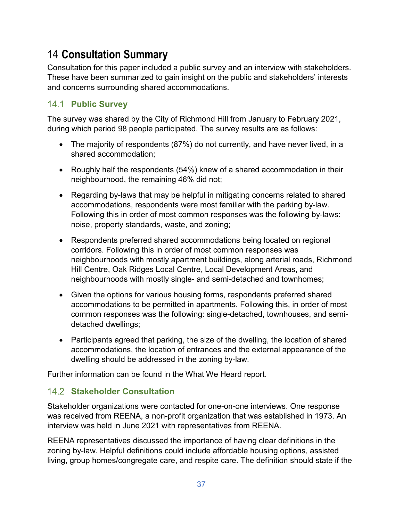# <span id="page-37-0"></span>14 **Consultation Summary**

Consultation for this paper included a public survey and an interview with stakeholders. These have been summarized to gain insight on the public and stakeholders' interests and concerns surrounding shared accommodations.

# <span id="page-37-1"></span>**Public Survey**

The survey was shared by the City of Richmond Hill from January to February 2021, during which period 98 people participated. The survey results are as follows:

- The majority of respondents (87%) do not currently, and have never lived, in a shared accommodation;
- Roughly half the respondents (54%) knew of a shared accommodation in their neighbourhood, the remaining 46% did not;
- Regarding by-laws that may be helpful in mitigating concerns related to shared accommodations, respondents were most familiar with the parking by-law. Following this in order of most common responses was the following by-laws: noise, property standards, waste, and zoning;
- Respondents preferred shared accommodations being located on regional corridors. Following this in order of most common responses was neighbourhoods with mostly apartment buildings, along arterial roads, Richmond Hill Centre, Oak Ridges Local Centre, Local Development Areas, and neighbourhoods with mostly single- and semi-detached and townhomes;
- Given the options for various housing forms, respondents preferred shared accommodations to be permitted in apartments. Following this, in order of most common responses was the following: single-detached, townhouses, and semidetached dwellings;
- Participants agreed that parking, the size of the dwelling, the location of shared accommodations, the location of entrances and the external appearance of the dwelling should be addressed in the zoning by-law.

Further information can be found in the What We Heard report.

# <span id="page-37-2"></span>**Stakeholder Consultation**

Stakeholder organizations were contacted for one-on-one interviews. One response was received from REENA, a non-profit organization that was established in 1973. An interview was held in June 2021 with representatives from REENA.

REENA representatives discussed the importance of having clear definitions in the zoning by-law. Helpful definitions could include affordable housing options, assisted living, group homes/congregate care, and respite care. The definition should state if the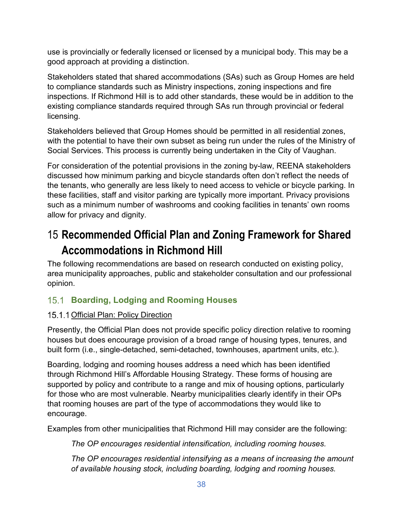use is provincially or federally licensed or licensed by a municipal body. This may be a good approach at providing a distinction.

Stakeholders stated that shared accommodations (SAs) such as Group Homes are held to compliance standards such as Ministry inspections, zoning inspections and fire inspections. If Richmond Hill is to add other standards, these would be in addition to the existing compliance standards required through SAs run through provincial or federal licensing.

Stakeholders believed that Group Homes should be permitted in all residential zones, with the potential to have their own subset as being run under the rules of the Ministry of Social Services. This process is currently being undertaken in the City of Vaughan.

For consideration of the potential provisions in the zoning by-law, REENA stakeholders discussed how minimum parking and bicycle standards often don't reflect the needs of the tenants, who generally are less likely to need access to vehicle or bicycle parking. In these facilities, staff and visitor parking are typically more important. Privacy provisions such as a minimum number of washrooms and cooking facilities in tenants' own rooms allow for privacy and dignity.

# <span id="page-38-0"></span>15 **Recommended Official Plan and Zoning Framework for Shared Accommodations in Richmond Hill**

The following recommendations are based on research conducted on existing policy, area municipality approaches, public and stakeholder consultation and our professional opinion.

# <span id="page-38-1"></span>**Boarding, Lodging and Rooming Houses**

# <span id="page-38-2"></span>15.1.1 Official Plan: Policy Direction

Presently, the Official Plan does not provide specific policy direction relative to rooming houses but does encourage provision of a broad range of housing types, tenures, and built form (i.e., single-detached, semi-detached, townhouses, apartment units, etc.).

Boarding, lodging and rooming houses address a need which has been identified through Richmond Hill's Affordable Housing Strategy. These forms of housing are supported by policy and contribute to a range and mix of housing options, particularly for those who are most vulnerable. Nearby municipalities clearly identify in their OPs that rooming houses are part of the type of accommodations they would like to encourage.

Examples from other municipalities that Richmond Hill may consider are the following:

*The OP encourages residential intensification, including rooming houses.*

*The OP encourages residential intensifying as a means of increasing the amount of available housing stock, including boarding, lodging and rooming houses.*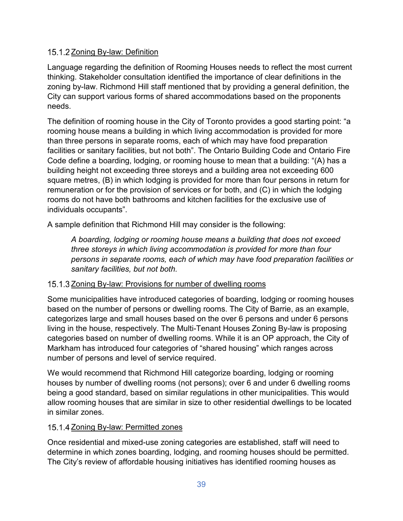## <span id="page-39-0"></span>15.1.2 Zoning By-law: Definition

Language regarding the definition of Rooming Houses needs to reflect the most current thinking. Stakeholder consultation identified the importance of clear definitions in the zoning by-law. Richmond Hill staff mentioned that by providing a general definition, the City can support various forms of shared accommodations based on the proponents needs.

The definition of rooming house in the City of Toronto provides a good starting point: "a rooming house means a building in which living accommodation is provided for more than three persons in separate rooms, each of which may have food preparation facilities or sanitary facilities, but not both". The Ontario Building Code and Ontario Fire Code define a boarding, lodging, or rooming house to mean that a building: "(A) has a building height not exceeding three storeys and a building area not exceeding 600 square metres, (B) in which lodging is provided for more than four persons in return for remuneration or for the provision of services or for both, and (C) in which the lodging rooms do not have both bathrooms and kitchen facilities for the exclusive use of individuals occupants".

A sample definition that Richmond Hill may consider is the following:

*A boarding, lodging or rooming house means a building that does not exceed three storeys in which living accommodation is provided for more than four persons in separate rooms, each of which may have food preparation facilities or sanitary facilities, but not both.*

## <span id="page-39-1"></span>15.1.3 Zoning By-law: Provisions for number of dwelling rooms

Some municipalities have introduced categories of boarding, lodging or rooming houses based on the number of persons or dwelling rooms. The City of Barrie, as an example, categorizes large and small houses based on the over 6 persons and under 6 persons living in the house, respectively. The Multi-Tenant Houses Zoning By-law is proposing categories based on number of dwelling rooms. While it is an OP approach, the City of Markham has introduced four categories of "shared housing" which ranges across number of persons and level of service required.

We would recommend that Richmond Hill categorize boarding, lodging or rooming houses by number of dwelling rooms (not persons); over 6 and under 6 dwelling rooms being a good standard, based on similar regulations in other municipalities. This would allow rooming houses that are similar in size to other residential dwellings to be located in similar zones.

### <span id="page-39-2"></span>15.1.4 Zoning By-law: Permitted zones

Once residential and mixed-use zoning categories are established, staff will need to determine in which zones boarding, lodging, and rooming houses should be permitted. The City's review of affordable housing initiatives has identified rooming houses as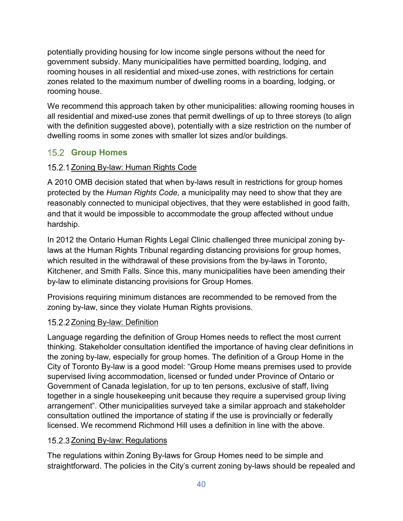potentially providing housing for low income single persons without the need for government subsidy. Many municipalities have permitted boarding, lodging, and rooming houses in all residential and mixed-use zones, with restrictions for certain zones related to the maximum number of dwelling rooms in a boarding, lodging, or rooming house.

We recommend this approach taken by other municipalities: allowing rooming houses in all residential and mixed-use zones that permit dwellings of up to three storeys (to align with the definition suggested above), potentially with a size restriction on the number of dwelling rooms in some zones with smaller lot sizes and/or buildings.

# <span id="page-40-0"></span>**15.2 Group Homes**

# <span id="page-40-1"></span>15.2.1 Zoning By-law: Human Rights Code

A 2010 OMB decision stated that when by-laws result in restrictions for group homes protected by the *Human Rights Code,* a municipality may need to show that they are reasonably connected to municipal objectives, that they were established in good faith, and that it would be impossible to accommodate the group affected without undue hardship.

In 2012 the Ontario Human Rights Legal Clinic challenged three municipal zoning bylaws at the Human Rights Tribunal regarding distancing provisions for group homes, which resulted in the withdrawal of these provisions from the by-laws in Toronto, Kitchener, and Smith Falls. Since this, many municipalities have been amending their by-law to eliminate distancing provisions for Group Homes.

Provisions requiring minimum distances are recommended to be removed from the zoning by-law, since they violate Human Rights provisions.

## <span id="page-40-2"></span>15.2.2 Zoning By-law: Definition

Language regarding the definition of Group Homes needs to reflect the most current thinking. Stakeholder consultation identified the importance of having clear definitions in the zoning by-law, especially for group homes. The definition of a Group Home in the City of Toronto By-law is a good model: "Group Home means premises used to provide supervised living accommodation, licensed or funded under Province of Ontario or Government of Canada legislation, for up to ten persons, exclusive of staff, living together in a single housekeeping unit because they require a supervised group living arrangement". Other municipalities surveyed take a similar approach and stakeholder consultation outlined the importance of stating if the use is provincially or federally licensed. We recommend Richmond Hill uses a definition in line with the above.

## <span id="page-40-3"></span>15.2.3 Zoning By-law: Regulations

The regulations within Zoning By-laws for Group Homes need to be simple and straightforward. The policies in the City's current zoning by-laws should be repealed and